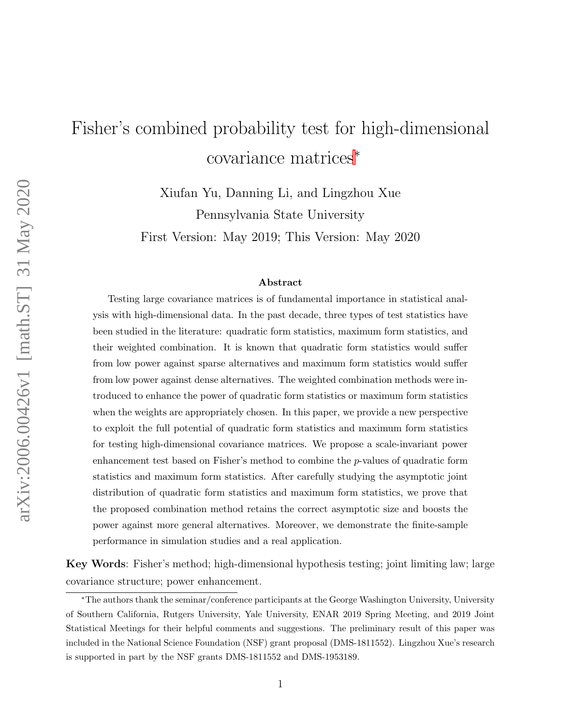# Fisher's combined probability test for high-dimensional covariance matrices<sup>∗</sup>

Xiufan Yu, Danning Li, and Lingzhou Xue Pennsylvania State University

First Version: May 2019; This Version: May 2020

#### Abstract

Testing large covariance matrices is of fundamental importance in statistical analysis with high-dimensional data. In the past decade, three types of test statistics have been studied in the literature: quadratic form statistics, maximum form statistics, and their weighted combination. It is known that quadratic form statistics would suffer from low power against sparse alternatives and maximum form statistics would suffer from low power against dense alternatives. The weighted combination methods were introduced to enhance the power of quadratic form statistics or maximum form statistics when the weights are appropriately chosen. In this paper, we provide a new perspective to exploit the full potential of quadratic form statistics and maximum form statistics for testing high-dimensional covariance matrices. We propose a scale-invariant power enhancement test based on Fisher's method to combine the p-values of quadratic form statistics and maximum form statistics. After carefully studying the asymptotic joint distribution of quadratic form statistics and maximum form statistics, we prove that the proposed combination method retains the correct asymptotic size and boosts the power against more general alternatives. Moreover, we demonstrate the finite-sample performance in simulation studies and a real application.

Key Words: Fisher's method; high-dimensional hypothesis testing; joint limiting law; large covariance structure; power enhancement.

<sup>∗</sup>The authors thank the seminar/conference participants at the George Washington University, University of Southern California, Rutgers University, Yale University, ENAR 2019 Spring Meeting, and 2019 Joint Statistical Meetings for their helpful comments and suggestions. The preliminary result of this paper was included in the National Science Foundation (NSF) grant proposal (DMS-1811552). Lingzhou Xue's research is supported in part by the NSF grants DMS-1811552 and DMS-1953189.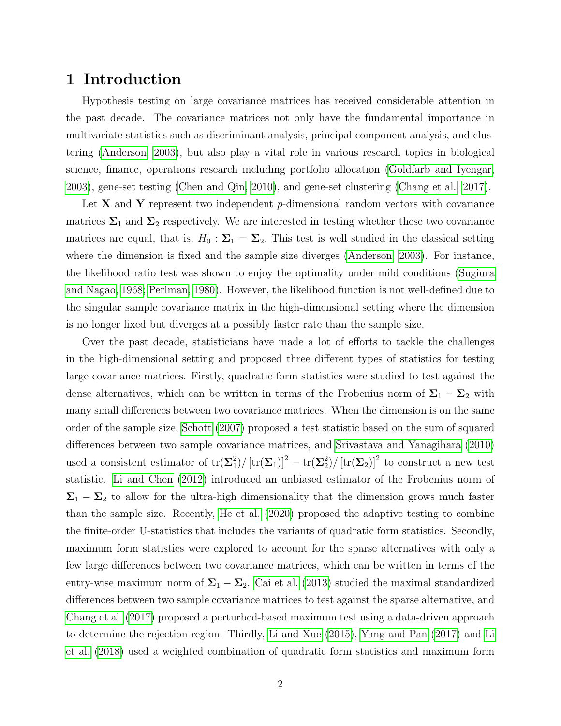# 1 Introduction

Hypothesis testing on large covariance matrices has received considerable attention in the past decade. The covariance matrices not only have the fundamental importance in multivariate statistics such as discriminant analysis, principal component analysis, and clustering [\(Anderson, 2003\)](#page-20-0), but also play a vital role in various research topics in biological science, finance, operations research including portfolio allocation [\(Goldfarb and Iyengar,](#page-21-0) [2003\)](#page-21-0), gene-set testing [\(Chen and Qin, 2010\)](#page-20-1), and gene-set clustering [\(Chang et al., 2017\)](#page-20-2).

Let  $X$  and  $Y$  represent two independent p-dimensional random vectors with covariance matrices  $\Sigma_1$  and  $\Sigma_2$  respectively. We are interested in testing whether these two covariance matrices are equal, that is,  $H_0$ :  $\Sigma_1 = \Sigma_2$ . This test is well studied in the classical setting where the dimension is fixed and the sample size diverges [\(Anderson, 2003\)](#page-20-0). For instance, the likelihood ratio test was shown to enjoy the optimality under mild conditions [\(Sugiura](#page-23-0) [and Nagao, 1968;](#page-23-0) [Perlman, 1980\)](#page-22-0). However, the likelihood function is not well-defined due to the singular sample covariance matrix in the high-dimensional setting where the dimension is no longer fixed but diverges at a possibly faster rate than the sample size.

Over the past decade, statisticians have made a lot of efforts to tackle the challenges in the high-dimensional setting and proposed three different types of statistics for testing large covariance matrices. Firstly, quadratic form statistics were studied to test against the dense alternatives, which can be written in terms of the Frobenius norm of  $\Sigma_1 - \Sigma_2$  with many small differences between two covariance matrices. When the dimension is on the same order of the sample size, [Schott](#page-22-1) [\(2007\)](#page-22-1) proposed a test statistic based on the sum of squared differences between two sample covariance matrices, and [Srivastava and Yanagihara](#page-23-1) [\(2010\)](#page-23-1) used a consistent estimator of  $tr(\Sigma_1^2)$  $\frac{2}{1})/\left[\text{tr}(\boldsymbol{\Sigma}_1)\right]^2-\text{tr}(\boldsymbol{\Sigma}_2^2)$  $\binom{2}{2}$  [tr( $\Sigma_2$ )]<sup>2</sup> to construct a new test statistic. [Li and Chen](#page-22-2) [\(2012\)](#page-22-2) introduced an unbiased estimator of the Frobenius norm of  $\Sigma_1 - \Sigma_2$  to allow for the ultra-high dimensionality that the dimension grows much faster than the sample size. Recently, [He et al.](#page-21-1) [\(2020\)](#page-21-1) proposed the adaptive testing to combine the finite-order U-statistics that includes the variants of quadratic form statistics. Secondly, maximum form statistics were explored to account for the sparse alternatives with only a few large differences between two covariance matrices, which can be written in terms of the entry-wise maximum norm of  $\Sigma_1 - \Sigma_2$ . [Cai et al.](#page-20-3) [\(2013\)](#page-20-3) studied the maximal standardized differences between two sample covariance matrices to test against the sparse alternative, and [Chang et al.](#page-20-2) [\(2017\)](#page-20-2) proposed a perturbed-based maximum test using a data-driven approach to determine the rejection region. Thirdly, [Li and Xue](#page-21-2) [\(2015\)](#page-21-2), [Yang and Pan](#page-23-2) [\(2017\)](#page-23-2) and [Li](#page-21-3) [et al.](#page-21-3) [\(2018\)](#page-21-3) used a weighted combination of quadratic form statistics and maximum form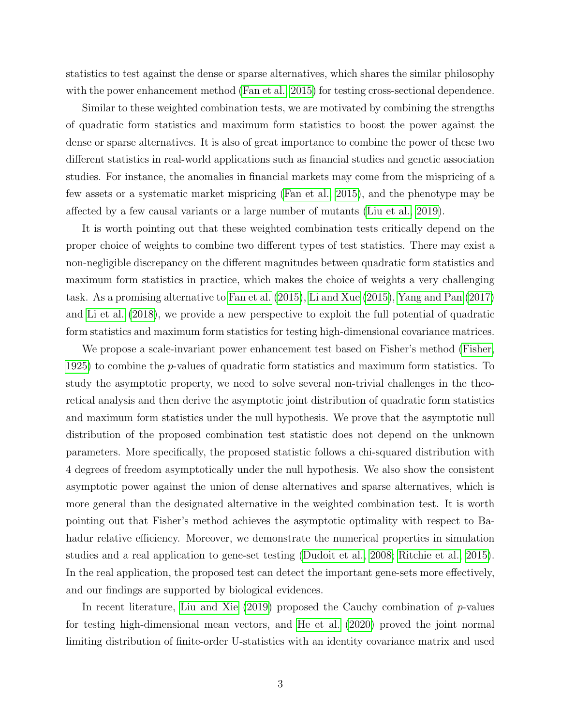statistics to test against the dense or sparse alternatives, which shares the similar philosophy with the power enhancement method [\(Fan et al., 2015\)](#page-21-4) for testing cross-sectional dependence.

Similar to these weighted combination tests, we are motivated by combining the strengths of quadratic form statistics and maximum form statistics to boost the power against the dense or sparse alternatives. It is also of great importance to combine the power of these two different statistics in real-world applications such as financial studies and genetic association studies. For instance, the anomalies in financial markets may come from the mispricing of a few assets or a systematic market mispricing [\(Fan et al., 2015\)](#page-21-4), and the phenotype may be affected by a few causal variants or a large number of mutants [\(Liu et al., 2019\)](#page-22-3).

It is worth pointing out that these weighted combination tests critically depend on the proper choice of weights to combine two different types of test statistics. There may exist a non-negligible discrepancy on the different magnitudes between quadratic form statistics and maximum form statistics in practice, which makes the choice of weights a very challenging task. As a promising alternative to [Fan et al.](#page-21-4) [\(2015\)](#page-21-4), [Li and Xue](#page-21-2) [\(2015\)](#page-21-2), [Yang and Pan](#page-23-2) [\(2017\)](#page-23-2) and [Li et al.](#page-21-3) [\(2018\)](#page-21-3), we provide a new perspective to exploit the full potential of quadratic form statistics and maximum form statistics for testing high-dimensional covariance matrices.

We propose a scale-invariant power enhancement test based on Fisher's method [\(Fisher,](#page-21-5) [1925\)](#page-21-5) to combine the p-values of quadratic form statistics and maximum form statistics. To study the asymptotic property, we need to solve several non-trivial challenges in the theoretical analysis and then derive the asymptotic joint distribution of quadratic form statistics and maximum form statistics under the null hypothesis. We prove that the asymptotic null distribution of the proposed combination test statistic does not depend on the unknown parameters. More specifically, the proposed statistic follows a chi-squared distribution with 4 degrees of freedom asymptotically under the null hypothesis. We also show the consistent asymptotic power against the union of dense alternatives and sparse alternatives, which is more general than the designated alternative in the weighted combination test. It is worth pointing out that Fisher's method achieves the asymptotic optimality with respect to Bahadur relative efficiency. Moreover, we demonstrate the numerical properties in simulation studies and a real application to gene-set testing [\(Dudoit et al., 2008;](#page-20-4) [Ritchie et al., 2015\)](#page-22-4). In the real application, the proposed test can detect the important gene-sets more effectively, and our findings are supported by biological evidences.

In recent literature, [Liu and Xie](#page-22-5)  $(2019)$  proposed the Cauchy combination of p-values for testing high-dimensional mean vectors, and [He et al.](#page-21-1) [\(2020\)](#page-21-1) proved the joint normal limiting distribution of finite-order U-statistics with an identity covariance matrix and used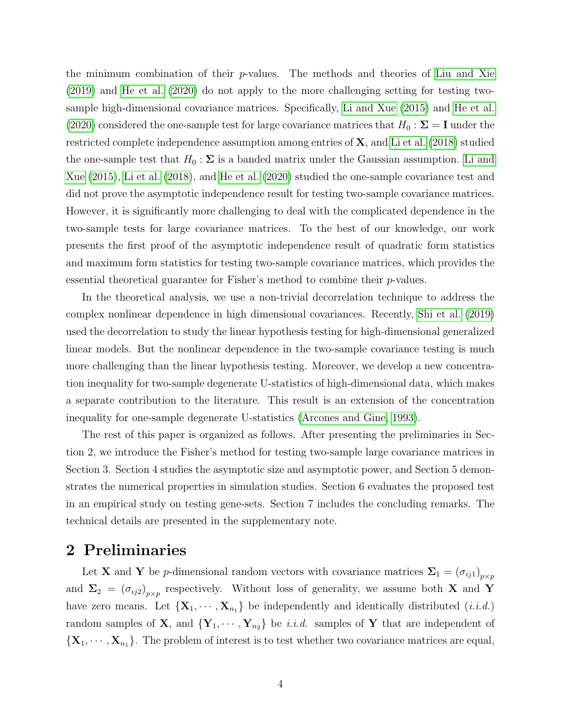the minimum combination of their  $p$ -values. The methods and theories of [Liu and Xie](#page-22-5) [\(2019\)](#page-22-5) and [He et al.](#page-21-1) [\(2020\)](#page-21-1) do not apply to the more challenging setting for testing twosample high-dimensional covariance matrices. Specifically, [Li and Xue](#page-21-2) [\(2015\)](#page-21-2) and [He et al.](#page-21-1) [\(2020\)](#page-21-1) considered the one-sample test for large covariance matrices that  $H_0 : \Sigma = I$  under the restricted complete independence assumption among entries of X, and [Li et al.](#page-21-3) [\(2018\)](#page-21-3) studied the one-sample test that  $H_0: \Sigma$  is a banded matrix under the Gaussian assumption. [Li and](#page-21-2) [Xue](#page-21-2) [\(2015\)](#page-21-2), [Li et al.](#page-21-3) [\(2018\)](#page-21-3), and [He et al.](#page-21-1) [\(2020\)](#page-21-1) studied the one-sample covariance test and did not prove the asymptotic independence result for testing two-sample covariance matrices. However, it is significantly more challenging to deal with the complicated dependence in the two-sample tests for large covariance matrices. To the best of our knowledge, our work presents the first proof of the asymptotic independence result of quadratic form statistics and maximum form statistics for testing two-sample covariance matrices, which provides the essential theoretical guarantee for Fisher's method to combine their p-values.

In the theoretical analysis, we use a non-trivial decorrelation technique to address the complex nonlinear dependence in high dimensional covariances. Recently, [Shi et al.](#page-22-6) [\(2019\)](#page-22-6) used the decorrelation to study the linear hypothesis testing for high-dimensional generalized linear models. But the nonlinear dependence in the two-sample covariance testing is much more challenging than the linear hypothesis testing. Moreover, we develop a new concentration inequality for two-sample degenerate U-statistics of high-dimensional data, which makes a separate contribution to the literature. This result is an extension of the concentration inequality for one-sample degenerate U-statistics [\(Arcones and Gine, 1993\)](#page-20-5).

The rest of this paper is organized as follows. After presenting the preliminaries in Section 2, we introduce the Fisher's method for testing two-sample large covariance matrices in Section 3. Section 4 studies the asymptotic size and asymptotic power, and Section 5 demonstrates the numerical properties in simulation studies. Section 6 evaluates the proposed test in an empirical study on testing gene-sets. Section 7 includes the concluding remarks. The technical details are presented in the supplementary note.

## 2 Preliminaries

Let **X** and **Y** be *p*-dimensional random vectors with covariance matrices  $\Sigma_1 = (\sigma_{ij1})_{p \times p}$ and  $\Sigma_2 = (\sigma_{ij2})_{p \times p}$  respectively. Without loss of generality, we assume both X and Y have zero means. Let  $\{X_1, \dots, X_{n_1}\}\$ be independently and identically distributed  $(i.i.d.)$ random samples of **X**, and  $\{Y_1, \dots, Y_{n_2}\}\$ be *i.i.d.* samples of **Y** that are independent of  ${\bf \{X_1, \cdots, X_{n_1}\}.$  The problem of interest is to test whether two covariance matrices are equal,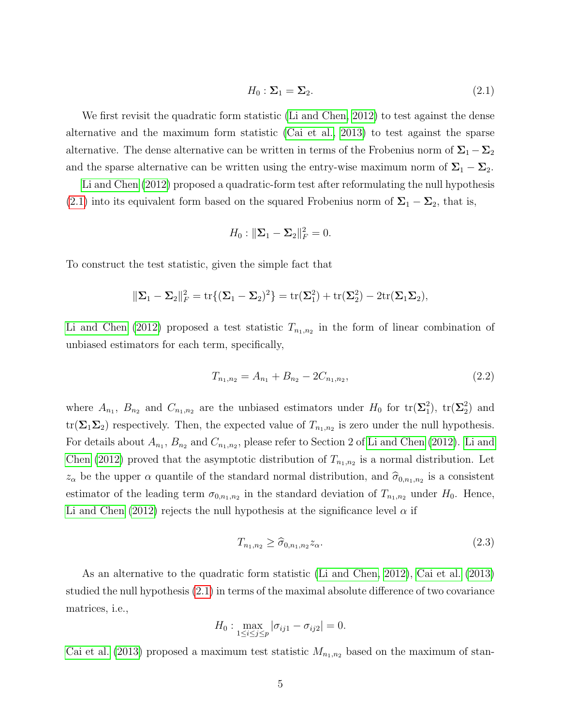$$
H_0: \Sigma_1 = \Sigma_2. \tag{2.1}
$$

<span id="page-4-0"></span>We first revisit the quadratic form statistic [\(Li and Chen, 2012\)](#page-22-2) to test against the dense alternative and the maximum form statistic [\(Cai et al., 2013\)](#page-20-3) to test against the sparse alternative. The dense alternative can be written in terms of the Frobenius norm of  $\Sigma_1 - \Sigma_2$ and the sparse alternative can be written using the entry-wise maximum norm of  $\Sigma_1 - \Sigma_2$ .

[Li and Chen](#page-22-2) [\(2012\)](#page-22-2) proposed a quadratic-form test after reformulating the null hypothesis [\(2.1\)](#page-4-0) into its equivalent form based on the squared Frobenius norm of  $\Sigma_1 - \Sigma_2$ , that is,

$$
H_0: \|\Sigma_1 - \Sigma_2\|_F^2 = 0.
$$

To construct the test statistic, given the simple fact that

$$
\|\Sigma_1-\Sigma_2\|_F^2=\text{tr}\{(\Sigma_1-\Sigma_2)^2\}=\text{tr}(\Sigma_1^2)+\text{tr}(\Sigma_2^2)-2\text{tr}(\Sigma_1\Sigma_2),
$$

[Li and Chen](#page-22-2) [\(2012\)](#page-22-2) proposed a test statistic  $T_{n_1,n_2}$  in the form of linear combination of unbiased estimators for each term, specifically,

$$
T_{n_1,n_2} = A_{n_1} + B_{n_2} - 2C_{n_1,n_2},\tag{2.2}
$$

where  $A_{n_1}$ ,  $B_{n_2}$  and  $C_{n_1,n_2}$  are the unbiased estimators under  $H_0$  for  $\text{tr}(\Sigma_1^2)$  $_{1}^{2}$ ),  $\text{tr}(\mathbf{\Sigma}_{2}^{2})$  $_{2}^{2})$  and  $\text{tr}(\mathbf{\Sigma}_1 \mathbf{\Sigma}_2)$  respectively. Then, the expected value of  $T_{n_1,n_2}$  is zero under the null hypothesis. For details about  $A_{n_1}, B_{n_2}$  and  $C_{n_1,n_2}$ , please refer to Section 2 of [Li and Chen](#page-22-2) [\(2012\)](#page-22-2). [Li and](#page-22-2) [Chen](#page-22-2) [\(2012\)](#page-22-2) proved that the asymptotic distribution of  $T_{n_1,n_2}$  is a normal distribution. Let  $z_{\alpha}$  be the upper  $\alpha$  quantile of the standard normal distribution, and  $\hat{\sigma}_{0,n_1,n_2}$  is a consistent estimator of the leading term  $\sigma_{0,n_1,n_2}$  in the standard deviation of  $T_{n_1,n_2}$  under  $H_0$ . Hence, [Li and Chen](#page-22-2) [\(2012\)](#page-22-2) rejects the null hypothesis at the significance level  $\alpha$  if

$$
T_{n_1,n_2} \ge \widehat{\sigma}_{0,n_1,n_2} z_\alpha. \tag{2.3}
$$

As an alternative to the quadratic form statistic [\(Li and Chen, 2012\)](#page-22-2), [Cai et al.](#page-20-3) [\(2013\)](#page-20-3) studied the null hypothesis [\(2.1\)](#page-4-0) in terms of the maximal absolute difference of two covariance matrices, i.e.,

$$
H_0: \max_{1 \le i \le j \le p} |\sigma_{ij1} - \sigma_{ij2}| = 0.
$$

[Cai et al.](#page-20-3) [\(2013\)](#page-20-3) proposed a maximum test statistic  $M_{n_1,n_2}$  based on the maximum of stan-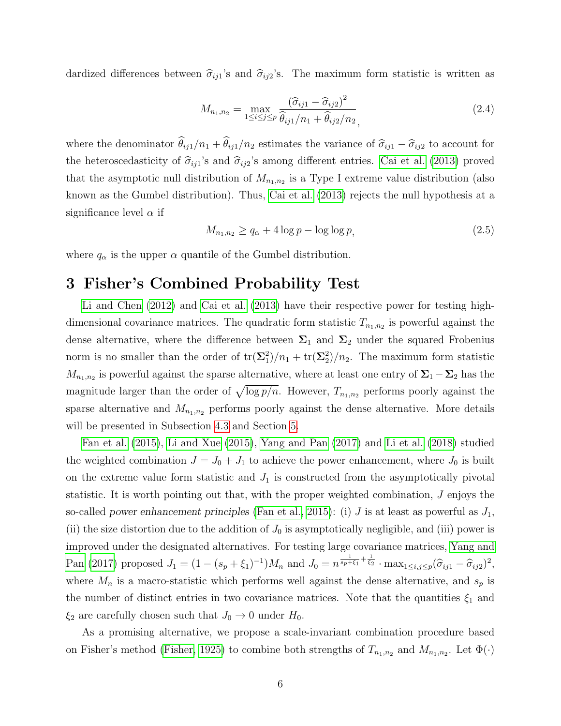dardized differences between  $\hat{\sigma}_{ij1}$ 's and  $\hat{\sigma}_{ij2}$ 's. The maximum form statistic is written as

$$
M_{n_1,n_2} = \max_{1 \le i \le j \le p} \frac{(\hat{\sigma}_{ij1} - \hat{\sigma}_{ij2})^2}{\hat{\theta}_{ij1}/n_1 + \hat{\theta}_{ij2}/n_2},
$$
\n(2.4)

where the denominator  $\hat{\theta}_{ij1}/n_1 + \hat{\theta}_{ij1}/n_2$  estimates the variance of  $\hat{\sigma}_{ij1} - \hat{\sigma}_{ij2}$  to account for the heteroscedasticity of  $\hat{\sigma}_{ij1}$ 's and  $\hat{\sigma}_{ij2}$ 's among different entries. [Cai et al.](#page-20-3) [\(2013\)](#page-20-3) proved that the asymptotic null distribution of  $M_{n_1,n_2}$  is a Type I extreme value distribution (also known as the Gumbel distribution). Thus, [Cai et al.](#page-20-3) [\(2013\)](#page-20-3) rejects the null hypothesis at a significance level  $\alpha$  if

$$
M_{n_1,n_2} \ge q_\alpha + 4\log p - \log \log p,\tag{2.5}
$$

where  $q_{\alpha}$  is the upper  $\alpha$  quantile of the Gumbel distribution.

# 3 Fisher's Combined Probability Test

[Li and Chen](#page-22-2) [\(2012\)](#page-22-2) and [Cai et al.](#page-20-3) [\(2013\)](#page-20-3) have their respective power for testing highdimensional covariance matrices. The quadratic form statistic  $T_{n_1,n_2}$  is powerful against the dense alternative, where the difference between  $\Sigma_1$  and  $\Sigma_2$  under the squared Frobenius norm is no smaller than the order of  $\text{tr}(\Sigma_1^2)$  $t_1^2)/n_1+\text{tr}(\mathbf{\Sigma}_2^2)$  $\binom{2}{2}/n_2$ . The maximum form statistic  $M_{n_1,n_2}$  is powerful against the sparse alternative, where at least one entry of  $\Sigma_1 - \Sigma_2$  has the magnitude larger than the order of  $\sqrt{\log p/n}$ . However,  $T_{n_1,n_2}$  performs poorly against the sparse alternative and  $M_{n_1,n_2}$  performs poorly against the dense alternative. More details will be presented in Subsection [4.3](#page-11-0) and Section [5.](#page-12-0)

[Fan et al.](#page-21-4) [\(2015\)](#page-21-4), [Li and Xue](#page-21-2) [\(2015\)](#page-21-2), [Yang and Pan](#page-23-2) [\(2017\)](#page-23-2) and [Li et al.](#page-21-3) [\(2018\)](#page-21-3) studied the weighted combination  $J = J_0 + J_1$  to achieve the power enhancement, where  $J_0$  is built on the extreme value form statistic and  $J_1$  is constructed from the asymptotically pivotal statistic. It is worth pointing out that, with the proper weighted combination, J enjoys the so-called power enhancement principles [\(Fan et al., 2015\)](#page-21-4): (i) J is at least as powerful as  $J_1$ , (ii) the size distortion due to the addition of  $J_0$  is asymptotically negligible, and (iii) power is improved under the designated alternatives. For testing large covariance matrices, [Yang and](#page-23-2) [Pan](#page-23-2) [\(2017\)](#page-23-2) proposed  $J_1 = (1 - (s_p + \xi_1)^{-1})M_n$  and  $J_0 = n^{\frac{1}{s_p + \xi_1} + \frac{1}{\xi_2}} \cdot \max_{1 \le i, j \le p} (\hat{\sigma}_{ij1} - \hat{\sigma}_{ij2})^2$ , where  $M_n$  is a macro-statistic which performs well against the dense alternative, and  $s_p$  is the number of distinct entries in two covariance matrices. Note that the quantities  $\xi_1$  and  $\xi_2$  are carefully chosen such that  $J_0 \to 0$  under  $H_0$ .

As a promising alternative, we propose a scale-invariant combination procedure based on Fisher's method [\(Fisher, 1925\)](#page-21-5) to combine both strengths of  $T_{n_1,n_2}$  and  $M_{n_1,n_2}$ . Let  $\Phi(\cdot)$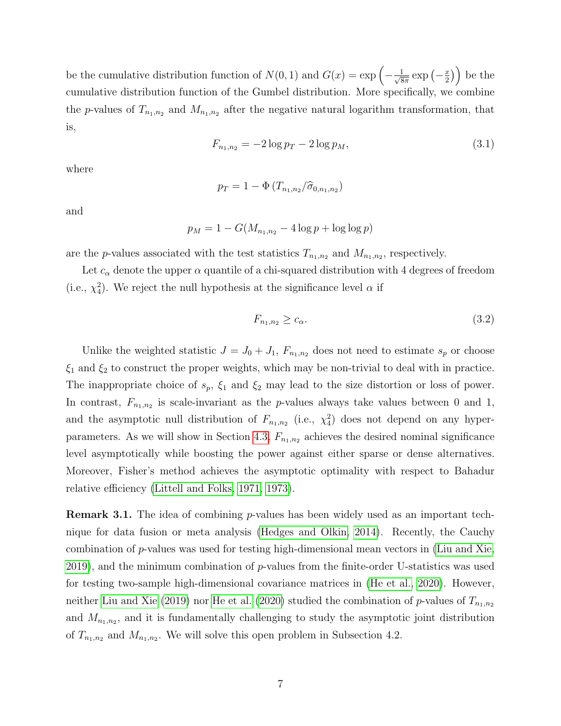be the cumulative distribution function of  $N(0, 1)$  and  $G(x) = \exp \left(-\frac{1}{\sqrt{2}}\right)$  $rac{1}{8\pi}$  exp  $\left(-\frac{x}{2}\right)$  $\left(\frac{x}{2}\right)$  be the cumulative distribution function of the Gumbel distribution. More specifically, we combine the p-values of  $T_{n_1,n_2}$  and  $M_{n_1,n_2}$  after the negative natural logarithm transformation, that is,

$$
F_{n_1,n_2} = -2\log p_T - 2\log p_M,\tag{3.1}
$$

where

$$
p_T = 1 - \Phi(T_{n_1,n_2}/\hat{\sigma}_{0,n_1,n_2})
$$

and

$$
p_M = 1 - G(M_{n_1, n_2} - 4\log p + \log \log p)
$$

are the *p*-values associated with the test statistics  $T_{n_1,n_2}$  and  $M_{n_1,n_2}$ , respectively.

Let  $c_{\alpha}$  denote the upper  $\alpha$  quantile of a chi-squared distribution with 4 degrees of freedom (i.e.,  $\chi^2_4$ ). We reject the null hypothesis at the significance level  $\alpha$  if

$$
F_{n_1,n_2} \ge c_\alpha. \tag{3.2}
$$

Unlike the weighted statistic  $J = J_0 + J_1$ ,  $F_{n_1,n_2}$  does not need to estimate  $s_p$  or choose  $\xi_1$  and  $\xi_2$  to construct the proper weights, which may be non-trivial to deal with in practice. The inappropriate choice of  $s_p$ ,  $\xi_1$  and  $\xi_2$  may lead to the size distortion or loss of power. In contrast,  $F_{n_1,n_2}$  is scale-invariant as the p-values always take values between 0 and 1, and the asymptotic null distribution of  $F_{n_1,n_2}$  (i.e.,  $\chi^2$ ) does not depend on any hyper-parameters. As we will show in Section [4.3,](#page-11-0)  $F_{n_1,n_2}$  achieves the desired nominal significance level asymptotically while boosting the power against either sparse or dense alternatives. Moreover, Fisher's method achieves the asymptotic optimality with respect to Bahadur relative efficiency [\(Littell and Folks, 1971,](#page-22-7) [1973\)](#page-22-8).

**Remark 3.1.** The idea of combining *p*-values has been widely used as an important technique for data fusion or meta analysis [\(Hedges and Olkin, 2014\)](#page-21-6). Recently, the Cauchy combination of p-values was used for testing high-dimensional mean vectors in [\(Liu and Xie,](#page-22-5) [2019\)](#page-22-5), and the minimum combination of  $p$ -values from the finite-order U-statistics was used for testing two-sample high-dimensional covariance matrices in [\(He et al., 2020\)](#page-21-1). However, neither [Liu and Xie](#page-22-5) [\(2019\)](#page-22-5) nor [He et al.](#page-21-1) [\(2020\)](#page-21-1) studied the combination of p-values of  $T_{n_1,n_2}$ and  $M_{n_1,n_2}$ , and it is fundamentally challenging to study the asymptotic joint distribution of  $T_{n_1,n_2}$  and  $M_{n_1,n_2}$ . We will solve this open problem in Subsection 4.2.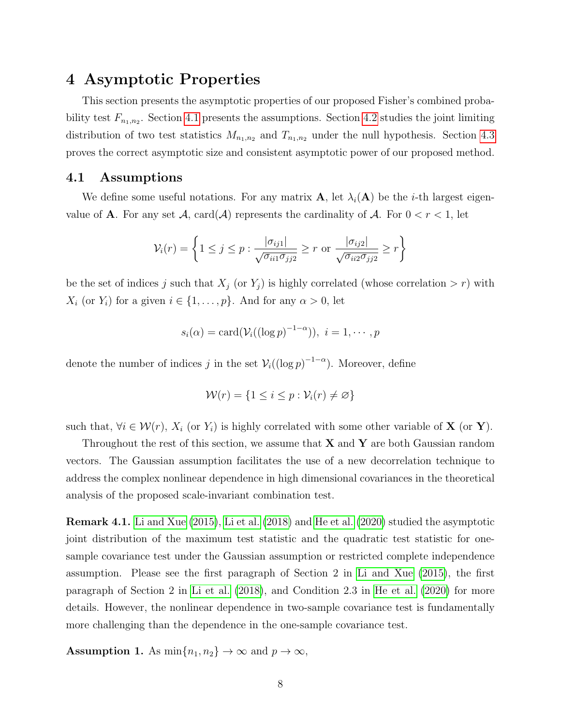# 4 Asymptotic Properties

This section presents the asymptotic properties of our proposed Fisher's combined probability test  $F_{n_1,n_2}$ . Section [4.1](#page-7-0) presents the assumptions. Section [4.2](#page-8-0) studies the joint limiting distribution of two test statistics  $M_{n_1,n_2}$  and  $T_{n_1,n_2}$  under the null hypothesis. Section [4.3](#page-11-0) proves the correct asymptotic size and consistent asymptotic power of our proposed method.

#### <span id="page-7-0"></span>4.1 Assumptions

We define some useful notations. For any matrix  $\mathbf{A}$ , let  $\lambda_i(\mathbf{A})$  be the *i*-th largest eigenvalue of **A**. For any set A, card(A) represents the cardinality of A. For  $0 < r < 1$ , let

$$
\mathcal{V}_i(r) = \left\{ 1 \le j \le p : \frac{|\sigma_{ij1}|}{\sqrt{\sigma_{ii1}\sigma_{jj2}}} \ge r \text{ or } \frac{|\sigma_{ij2}|}{\sqrt{\sigma_{ii2}\sigma_{jj2}}} \ge r \right\}
$$

be the set of indices j such that  $X_j$  (or  $Y_j$ ) is highly correlated (whose correlation  $> r$ ) with  $X_i$  (or  $Y_i$ ) for a given  $i \in \{1, \ldots, p\}$ . And for any  $\alpha > 0$ , let

$$
s_i(\alpha) = \text{card}(\mathcal{V}_i((\log p)^{-1-\alpha})), \ i = 1, \cdots, p
$$

denote the number of indices j in the set  $\mathcal{V}_i((\log p)^{-1-\alpha})$ . Moreover, define

$$
\mathcal{W}(r) = \{1 \le i \le p : \mathcal{V}_i(r) \neq \varnothing\}
$$

such that,  $\forall i \in \mathcal{W}(r)$ ,  $X_i$  (or  $Y_i$ ) is highly correlated with some other variable of **X** (or **Y**).

Throughout the rest of this section, we assume that  $X$  and  $Y$  are both Gaussian random vectors. The Gaussian assumption facilitates the use of a new decorrelation technique to address the complex nonlinear dependence in high dimensional covariances in the theoretical analysis of the proposed scale-invariant combination test.

Remark 4.1. [Li and Xue](#page-21-2) [\(2015\)](#page-21-2), [Li et al.](#page-21-3) [\(2018\)](#page-21-3) and [He et al.](#page-21-1) [\(2020\)](#page-21-1) studied the asymptotic joint distribution of the maximum test statistic and the quadratic test statistic for onesample covariance test under the Gaussian assumption or restricted complete independence assumption. Please see the first paragraph of Section 2 in [Li and Xue](#page-21-2) [\(2015\)](#page-21-2), the first paragraph of Section 2 in [Li et al.](#page-21-3) [\(2018\)](#page-21-3), and Condition 2.3 in [He et al.](#page-21-1) [\(2020\)](#page-21-1) for more details. However, the nonlinear dependence in two-sample covariance test is fundamentally more challenging than the dependence in the one-sample covariance test.

<span id="page-7-1"></span>**Assumption 1.** As  $\min\{n_1, n_2\} \to \infty$  and  $p \to \infty$ ,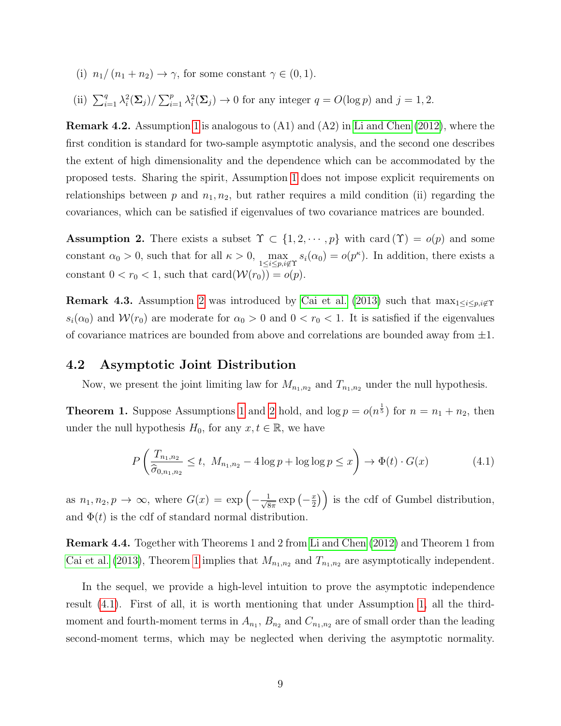- (i)  $n_1/(n_1 + n_2) \rightarrow \gamma$ , for some constant  $\gamma \in (0, 1)$ .
- (ii)  $\sum_{i=1}^q \lambda_i^2(\Sigma_j) / \sum_{i=1}^p \lambda_i^2(\Sigma_j) \to 0$  for any integer  $q = O(\log p)$  and  $j = 1, 2$ .

**Remark 4.2.** Assumption [1](#page-7-1) is analogous to  $(A1)$  and  $(A2)$  in [Li and Chen](#page-22-2)  $(2012)$ , where the first condition is standard for two-sample asymptotic analysis, and the second one describes the extent of high dimensionality and the dependence which can be accommodated by the proposed tests. Sharing the spirit, Assumption [1](#page-7-1) does not impose explicit requirements on relationships between p and  $n_1, n_2$ , but rather requires a mild condition (ii) regarding the covariances, which can be satisfied if eigenvalues of two covariance matrices are bounded.

<span id="page-8-1"></span>**Assumption 2.** There exists a subset  $\Upsilon \subset \{1, 2, \dots, p\}$  with card  $(\Upsilon) = o(p)$  and some constant  $\alpha_0 > 0$ , such that for all  $\kappa > 0$ ,  $\max_{1 \leq i \leq p, i \notin \Upsilon} s_i(\alpha_0) = o(p^{\kappa})$ . In addition, there exists a constant  $0 < r_0 < 1$ , such that  $card(W(r_0)) = o(p)$ .

**Remark 4.3.** Assumption [2](#page-8-1) was introduced by [Cai et al.](#page-20-3) [\(2013\)](#page-20-3) such that  $\max_{1 \leq i \leq p, i \notin \Upsilon}$  $s_i(\alpha_0)$  and  $\mathcal{W}(r_0)$  are moderate for  $\alpha_0 > 0$  and  $0 < r_0 < 1$ . It is satisfied if the eigenvalues of covariance matrices are bounded from above and correlations are bounded away from  $\pm 1$ .

#### <span id="page-8-0"></span>4.2 Asymptotic Joint Distribution

Now, we present the joint limiting law for  $M_{n_1,n_2}$  and  $T_{n_1,n_2}$  under the null hypothesis.

<span id="page-8-2"></span>**Theorem [1](#page-7-1).** Suppose Assumptions 1 and [2](#page-8-1) hold, and  $\log p = o(n^{\frac{1}{5}})$  for  $n = n_1 + n_2$ , then under the null hypothesis  $H_0$ , for any  $x, t \in \mathbb{R}$ , we have

<span id="page-8-3"></span>
$$
P\left(\frac{T_{n_1,n_2}}{\hat{\sigma}_{0,n_1,n_2}} \le t, \ M_{n_1,n_2} - 4\log p + \log \log p \le x\right) \to \Phi(t) \cdot G(x) \tag{4.1}
$$

as  $n_1, n_2, p \to \infty$ , where  $G(x) = \exp \left(-\frac{1}{\sqrt{8}}\right)$  $\frac{1}{8\pi}$  exp  $\left(-\frac{x}{2}\right)$  $\left(\frac{x}{2}\right)$  is the cdf of Gumbel distribution, and  $\Phi(t)$  is the cdf of standard normal distribution.

Remark 4.4. Together with Theorems 1 and 2 from [Li and Chen](#page-22-2) [\(2012\)](#page-22-2) and Theorem 1 from [Cai et al.](#page-20-3) [\(2013\)](#page-20-3), Theorem [1](#page-8-2) implies that  $M_{n_1,n_2}$  and  $T_{n_1,n_2}$  are asymptotically independent.

In the sequel, we provide a high-level intuition to prove the asymptotic independence result [\(4.1\)](#page-8-3). First of all, it is worth mentioning that under Assumption [1,](#page-7-1) all the thirdmoment and fourth-moment terms in  $A_{n_1}$ ,  $B_{n_2}$  and  $C_{n_1,n_2}$  are of small order than the leading second-moment terms, which may be neglected when deriving the asymptotic normality.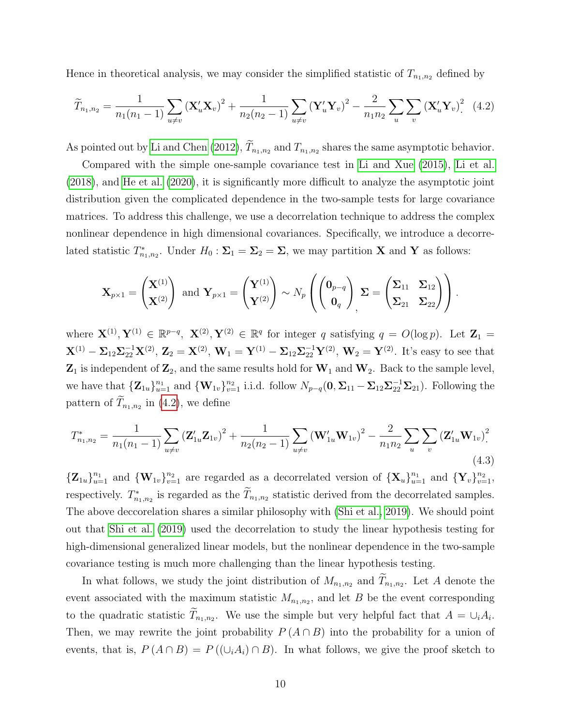Hence in theoretical analysis, we may consider the simplified statistic of  $T_{n_1,n_2}$  defined by

<span id="page-9-0"></span>
$$
\widetilde{T}_{n_1,n_2} = \frac{1}{n_1(n_1-1)} \sum_{u \neq v} \left( \mathbf{X}_u' \mathbf{X}_v \right)^2 + \frac{1}{n_2(n_2-1)} \sum_{u \neq v} \left( \mathbf{Y}_u' \mathbf{Y}_v \right)^2 - \frac{2}{n_1 n_2} \sum_u \sum_v \left( \mathbf{X}_u' \mathbf{Y}_v \right)^2 \tag{4.2}
$$

As pointed out by [Li and Chen](#page-22-2) [\(2012\)](#page-22-2),  $T_{n_1,n_2}$  and  $T_{n_1,n_2}$  shares the same asymptotic behavior.

Compared with the simple one-sample covariance test in [Li and Xue](#page-21-2) [\(2015\)](#page-21-2), [Li et al.](#page-21-3) [\(2018\)](#page-21-3), and [He et al.](#page-21-1) [\(2020\)](#page-21-1), it is significantly more difficult to analyze the asymptotic joint distribution given the complicated dependence in the two-sample tests for large covariance matrices. To address this challenge, we use a decorrelation technique to address the complex nonlinear dependence in high dimensional covariances. Specifically, we introduce a decorrelated statistic  $T_{n_1,n_2}^*$ . Under  $H_0: \Sigma_1 = \Sigma_2 = \Sigma$ , we may partition **X** and **Y** as follows:

$$
\mathbf{X}_{p\times 1} = \begin{pmatrix} \mathbf{X}^{(1)} \\ \mathbf{X}^{(2)} \end{pmatrix} \text{ and } \mathbf{Y}_{p\times 1} = \begin{pmatrix} \mathbf{Y}^{(1)} \\ \mathbf{Y}^{(2)} \end{pmatrix} \sim N_p \left( \begin{pmatrix} \mathbf{0}_{p-q} \\ \mathbf{0}_q \end{pmatrix}, \boldsymbol{\Sigma} = \begin{pmatrix} \boldsymbol{\Sigma}_{11} & \boldsymbol{\Sigma}_{12} \\ \boldsymbol{\Sigma}_{21} & \boldsymbol{\Sigma}_{22} \end{pmatrix} \right).
$$

where  $\mathbf{X}^{(1)}, \mathbf{Y}^{(1)} \in \mathbb{R}^{p-q}$ ,  $\mathbf{X}^{(2)}, \mathbf{Y}^{(2)} \in \mathbb{R}^q$  for integer q satisfying  $q = O(\log p)$ . Let  $\mathbf{Z}_1 =$  ${\bf X}^{(1)} - \Sigma_{12} \Sigma_{22}^{-1} {\bf X}^{(2)}, \, {\bf Z}_2 = {\bf X}^{(2)}, \, {\bf W}_1 = {\bf Y}^{(1)} - \Sigma_{12} \Sigma_{22}^{-1} {\bf Y}^{(2)}, \, {\bf W}_2 = {\bf Y}^{(2)}.$  It's easy to see that  $\mathbf{Z}_1$  is independent of  $\mathbf{Z}_2$ , and the same results hold for  $\mathbf{W}_1$  and  $\mathbf{W}_2$ . Back to the sample level, we have that  ${\bf Z}_{1u}\}_{u=1}^{n_1}$  and  ${\bf \{W}_{1v}\}_{v=1}^{n_2}$  i.i.d. follow  $N_{p-q}(0, \Sigma_{11} - \Sigma_{12}\Sigma_{22}^{-1}\Sigma_{21})$ . Following the pattern of  $T_{n_1,n_2}$  in [\(4.2\)](#page-9-0), we define

$$
T_{n_1,n_2}^* = \frac{1}{n_1(n_1-1)} \sum_{u \neq v} \left( \mathbf{Z}_{1u}' \mathbf{Z}_{1v} \right)^2 + \frac{1}{n_2(n_2-1)} \sum_{u \neq v} \left( \mathbf{W}_{1u}' \mathbf{W}_{1v} \right)^2 - \frac{2}{n_1 n_2} \sum_{u} \sum_{v} \left( \mathbf{Z}_{1u}' \mathbf{W}_{1v} \right)^2
$$
\n(4.3)

 ${\mathbf Z}_{1u}\}_{u=1}^{n_1}$  and  ${\mathbf W}_{1v}\}_{v=1}^{n_2}$  are regarded as a decorrelated version of  ${\mathbf X}_u\}_{u=1}^{n_1}$  and  ${\mathbf Y}_v\}_{v=1}^{n_2}$ , respectively.  $T_{n_1,n_2}^*$  is regarded as the  $T_{n_1,n_2}$  statistic derived from the decorrelated samples. The above deccorelation shares a similar philosophy with [\(Shi et al., 2019\)](#page-22-6). We should point out that [Shi et al.](#page-22-6) [\(2019\)](#page-22-6) used the decorrelation to study the linear hypothesis testing for high-dimensional generalized linear models, but the nonlinear dependence in the two-sample covariance testing is much more challenging than the linear hypothesis testing.

In what follows, we study the joint distribution of  $M_{n_1,n_2}$  and  $T_{n_1,n_2}$ . Let A denote the event associated with the maximum statistic  $M_{n_1,n_2}$ , and let B be the event corresponding to the quadratic statistic  $T_{n_1,n_2}$ . We use the simple but very helpful fact that  $A = \bigcup_i A_i$ . Then, we may rewrite the joint probability  $P(A \cap B)$  into the probability for a union of events, that is,  $P(A \cap B) = P((\cup_i A_i) \cap B)$ . In what follows, we give the proof sketch to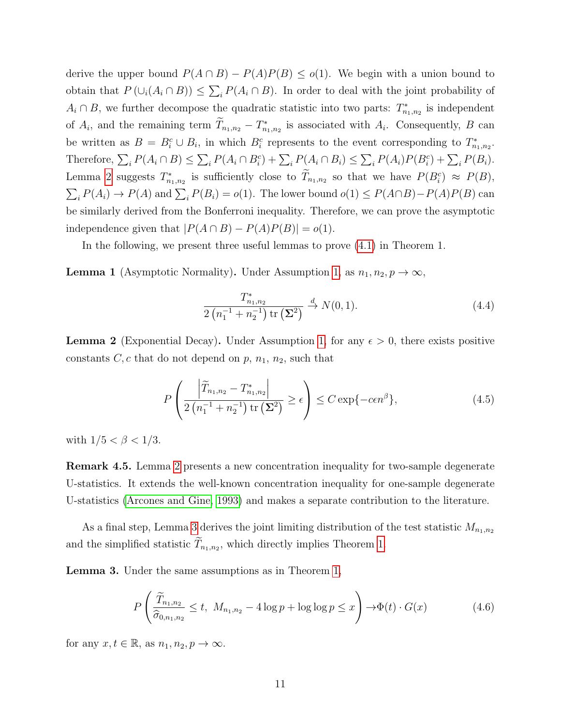derive the upper bound  $P(A \cap B) - P(A)P(B) \le o(1)$ . We begin with a union bound to obtain that  $P(\bigcup_i (A_i \cap B)) \leq \sum_i P(A_i \cap B)$ . In order to deal with the joint probability of  $A_i \cap B$ , we further decompose the quadratic statistic into two parts:  $T_{n_1,n_2}^*$  is independent of  $A_i$ , and the remaining term  $T_{n_1,n_2} - T_{n_1,n_2}^*$  is associated with  $A_i$ . Consequently, B can be written as  $B = B_i^c \cup B_i$ , in which  $B_i^c$  represents to the event corresponding to  $T_{n_1,n_2}^*$ . Therefore,  $\sum_i P(A_i \cap B) \leq \sum_i P(A_i \cap B_i^c) + \sum_i P(A_i \cap B_i) \leq \sum_i P(A_i)P(B_i^c) + \sum_i P(B_i)$ . Lemma [2](#page-10-0) suggests  $T_{n_1,n_2}^*$  is sufficiently close to  $T_{n_1,n_2}$  so that we have  $P(B_i^c) \approx P(B)$ ,  $\sum_i P(A_i) \to P(A)$  and  $\sum_i P(B_i) = o(1)$ . The lower bound  $o(1) \leq P(A \cap B) - P(A)P(B)$  can be similarly derived from the Bonferroni inequality. Therefore, we can prove the asymptotic independence given that  $|P(A \cap B) - P(A)P(B)| = o(1)$ .

In the following, we present three useful lemmas to prove [\(4.1\)](#page-8-3) in Theorem 1.

<span id="page-10-2"></span>**Lemma 1** (Asymptotic Normality). Under Assumption [1,](#page-7-1) as  $n_1, n_2, p \to \infty$ ,

$$
\frac{T_{n_1,n_2}^*}{2\left(n_1^{-1}+n_2^{-1}\right)\text{tr}\left(\Sigma^2\right)} \xrightarrow{d} N(0,1). \tag{4.4}
$$

<span id="page-10-0"></span>**Lemma 2** (Exponential Decay). Under Assumption [1,](#page-7-1) for any  $\epsilon > 0$ , there exists positive constants  $C, c$  that do not depend on  $p, n_1, n_2$ , such that

$$
P\left(\frac{\left|\widetilde{T}_{n_1,n_2} - T_{n_1,n_2}^*\right|}{2\left(n_1^{-1} + n_2^{-1}\right)\text{tr}\left(\Sigma^2\right)} \ge \epsilon\right) \le C \exp\{-c\epsilon n^{\beta}\},\tag{4.5}
$$

with  $1/5 < \beta < 1/3$ .

Remark 4.5. Lemma [2](#page-10-0) presents a new concentration inequality for two-sample degenerate U-statistics. It extends the well-known concentration inequality for one-sample degenerate U-statistics [\(Arcones and Gine, 1993\)](#page-20-5) and makes a separate contribution to the literature.

As a final step, Lemma [3](#page-10-1) derives the joint limiting distribution of the test statistic  $M_{n_1,n_2}$ and the simplified statistic  $T_{n_1,n_2}$ , which directly implies Theorem [1.](#page-8-2)

<span id="page-10-1"></span>Lemma 3. Under the same assumptions as in Theorem [1,](#page-8-2)

$$
P\left(\frac{\widetilde{T}_{n_1,n_2}}{\widehat{\sigma}_{0,n_1,n_2}} \le t, \ M_{n_1,n_2} - 4\log p + \log\log p \le x\right) \to \Phi(t) \cdot G(x) \tag{4.6}
$$

for any  $x, t \in \mathbb{R}$ , as  $n_1, n_2, p \to \infty$ .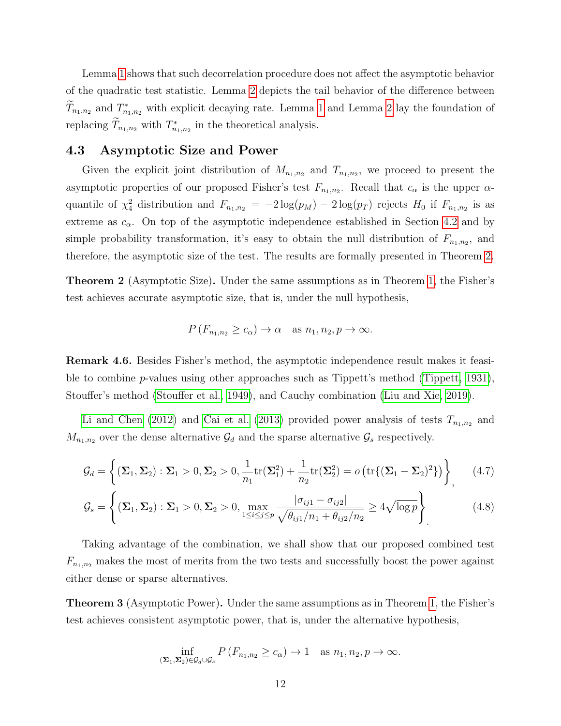Lemma [1](#page-10-2) shows that such decorrelation procedure does not affect the asymptotic behavior of the quadratic test statistic. Lemma [2](#page-10-0) depicts the tail behavior of the difference between  $\widetilde{T}_{n_1,n_2}$  and  $T^*_{n_1,n_2}$  with explicit decaying rate. Lemma [1](#page-10-2) and Lemma [2](#page-10-0) lay the foundation of replacing  $\tilde{T}_{n_1,n_2}$  with  $T_{n_1,n_2}^*$  in the theoretical analysis.

#### <span id="page-11-0"></span>4.3 Asymptotic Size and Power

Given the explicit joint distribution of  $M_{n_1,n_2}$  and  $T_{n_1,n_2}$ , we proceed to present the asymptotic properties of our proposed Fisher's test  $F_{n_1,n_2}$ . Recall that  $c_{\alpha}$  is the upper  $\alpha$ quantile of  $\chi^2_4$  distribution and  $F_{n_1,n_2} = -2\log(p_M) - 2\log(p_T)$  rejects  $H_0$  if  $F_{n_1,n_2}$  is as extreme as  $c_{\alpha}$ . On top of the asymptotic independence established in Section [4.2](#page-8-0) and by simple probability transformation, it's easy to obtain the null distribution of  $F_{n_1,n_2}$ , and therefore, the asymptotic size of the test. The results are formally presented in Theorem [2.](#page-11-1)

<span id="page-11-1"></span>Theorem 2 (Asymptotic Size). Under the same assumptions as in Theorem [1,](#page-8-2) the Fisher's test achieves accurate asymptotic size, that is, under the null hypothesis,

$$
P(F_{n_1,n_2} \ge c_\alpha) \to \alpha \quad \text{as } n_1, n_2, p \to \infty.
$$

Remark 4.6. Besides Fisher's method, the asymptotic independence result makes it feasible to combine p-values using other approaches such as Tippett's method [\(Tippett, 1931\)](#page-23-3), Stouffer's method [\(Stouffer et al., 1949\)](#page-23-4), and Cauchy combination [\(Liu and Xie, 2019\)](#page-22-5).

[Li and Chen](#page-22-2) [\(2012\)](#page-22-2) and [Cai et al.](#page-20-3) [\(2013\)](#page-20-3) provided power analysis of tests  $T_{n_1,n_2}$  and  $M_{n_1,n_2}$  over the dense alternative  $\mathcal{G}_d$  and the sparse alternative  $\mathcal{G}_s$  respectively.

$$
\mathcal{G}_d = \left\{ (\Sigma_1, \Sigma_2) : \Sigma_1 > 0, \Sigma_2 > 0, \frac{1}{n_1} \text{tr}(\Sigma_1^2) + \frac{1}{n_2} \text{tr}(\Sigma_2^2) = o\left(\text{tr}\{(\Sigma_1 - \Sigma_2)^2\}\right) \right\},\tag{4.7}
$$

$$
\mathcal{G}_s = \left\{ (\mathbf{\Sigma}_1, \mathbf{\Sigma}_2) : \mathbf{\Sigma}_1 > 0, \mathbf{\Sigma}_2 > 0, \max_{1 \le i \le j \le p} \frac{|\sigma_{ij1} - \sigma_{ij2}|}{\sqrt{\theta_{ij1}/n_1 + \theta_{ij2}/n_2}} \ge 4\sqrt{\log p} \right\}.
$$
 (4.8)

Taking advantage of the combination, we shall show that our proposed combined test  $F_{n_1,n_2}$  makes the most of merits from the two tests and successfully boost the power against either dense or sparse alternatives.

Theorem 3 (Asymptotic Power). Under the same assumptions as in Theorem [1,](#page-8-2) the Fisher's test achieves consistent asymptotic power, that is, under the alternative hypothesis,

$$
\inf_{(\Sigma_1,\Sigma_2)\in\mathcal{G}_d\cup\mathcal{G}_s} P\left(F_{n_1,n_2}\geq c_\alpha\right)\to 1 \quad \text{as } n_1,n_2,p\to\infty.
$$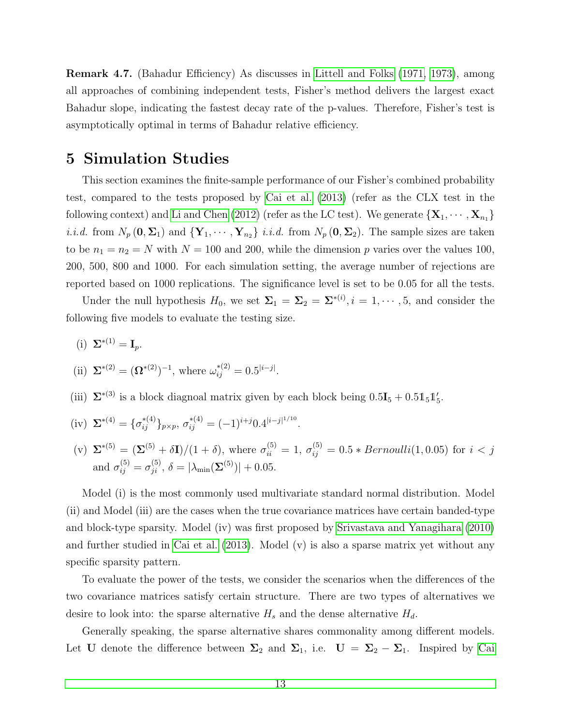Remark 4.7. (Bahadur Efficiency) As discusses in [Littell and Folks](#page-22-7) [\(1971,](#page-22-7) [1973\)](#page-22-8), among all approaches of combining independent tests, Fisher's method delivers the largest exact Bahadur slope, indicating the fastest decay rate of the p-values. Therefore, Fisher's test is asymptotically optimal in terms of Bahadur relative efficiency.

### <span id="page-12-0"></span>5 Simulation Studies

This section examines the finite-sample performance of our Fisher's combined probability test, compared to the tests proposed by [Cai et al.](#page-20-3) [\(2013\)](#page-20-3) (refer as the CLX test in the following context) and [Li and Chen](#page-22-2) [\(2012\)](#page-22-2) (refer as the LC test). We generate  $\{X_1, \dots, X_{n_1}\}\$ *i.i.d.* from  $N_p(\mathbf{0}, \mathbf{\Sigma}_1)$  and  $\{Y_1, \cdots, Y_{n_2}\}$  *i.i.d.* from  $N_p(\mathbf{0}, \mathbf{\Sigma}_2)$ . The sample sizes are taken to be  $n_1 = n_2 = N$  with  $N = 100$  and 200, while the dimension p varies over the values 100, 200, 500, 800 and 1000. For each simulation setting, the average number of rejections are reported based on 1000 replications. The significance level is set to be 0.05 for all the tests.

Under the null hypothesis  $H_0$ , we set  $\Sigma_1 = \Sigma_2 = \Sigma^{*(i)}$ ,  $i = 1, \dots, 5$ , and consider the following five models to evaluate the testing size.

(i)  $\Sigma^{*(1)} = I_p$ .

(ii) 
$$
\Sigma^{*(2)} = (\Omega^{*(2)})^{-1}
$$
, where  $\omega_{ij}^{*(2)} = 0.5^{|i-j|}$ .

- (iii)  $\Sigma^{*(3)}$  is a block diagnoal matrix given by each block being  $0.5I_5 + 0.5I_5I'_5$ .
- (iv)  $\Sigma^{*(4)} = {\sigma_{ij}^{*(4)}}_{p \times p}, \sigma_{ij}^{*(4)} = (-1)^{i+j} 0.4^{|i-j|^{1/10}}.$
- (v)  $\Sigma^{*(5)} = (\Sigma^{(5)} + \delta I)/(1 + \delta)$ , where  $\sigma_{ii}^{(5)} = 1$ ,  $\sigma_{ij}^{(5)} = 0.5 * Bernoulli(1, 0.05)$  for  $i < j$ and  $\sigma_{ij}^{(5)} = \sigma_{ji}^{(5)}$ ,  $\delta = |\lambda_{\min}(\mathbf{\Sigma}^{(5)})| + 0.05$ .

Model (i) is the most commonly used multivariate standard normal distribution. Model (ii) and Model (iii) are the cases when the true covariance matrices have certain banded-type and block-type sparsity. Model (iv) was first proposed by [Srivastava and Yanagihara](#page-23-1) [\(2010\)](#page-23-1) and further studied in [Cai et al.](#page-20-3) [\(2013\)](#page-20-3). Model (v) is also a sparse matrix yet without any specific sparsity pattern.

To evaluate the power of the tests, we consider the scenarios when the differences of the two covariance matrices satisfy certain structure. There are two types of alternatives we desire to look into: the sparse alternative  $H_s$  and the dense alternative  $H_d$ .

Generally speaking, the sparse alternative shares commonality among different models. Let U denote the difference between  $\Sigma_2$  and  $\Sigma_1$ , i.e.  $U = \Sigma_2 - \Sigma_1$ . Inspired by [Cai](#page-20-3)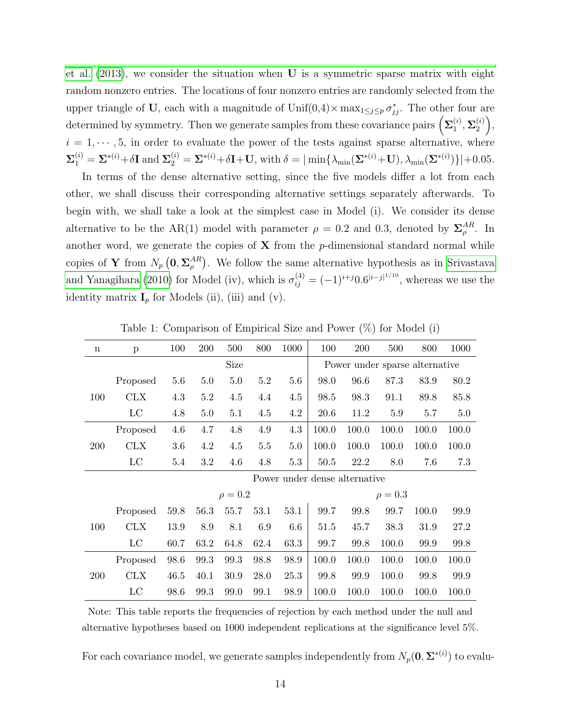[et al.](#page-20-3) [\(2013\)](#page-20-3), we consider the situation when U is a symmetric sparse matrix with eight random nonzero entries. The locations of four nonzero entries are randomly selected from the upper triangle of U, each with a magnitude of  $\text{Unif}(0,4) \times \max_{1 \leq j \leq p} \sigma_{jj}^*$ . The other four are determined by symmetry. Then we generate samples from these covariance pairs  $\left(\mathbf{\Sigma}_1^{(i)}\right)$  $_1^{\left( i\right) },\mathbf{\Sigma }_{2}^{\left( i\right) }$  $\binom{i}{2}$ ,  $i = 1, \dots, 5$ , in order to evaluate the power of the tests against sparse alternative, where  $\Sigma_1^{(i)} = \Sigma^{*(i)} + \delta \mathbf{I}$  and  $\Sigma_2^{(i)} = \Sigma^{*(i)} + \delta \mathbf{I} + \mathbf{U}$ , with  $\delta = |\min\{\lambda_{\min}(\Sigma^{*(i)} + \mathbf{U}), \lambda_{\min}(\Sigma^{*(i)})\}| + 0.05$ .

In terms of the dense alternative setting, since the five models differ a lot from each other, we shall discuss their corresponding alternative settings separately afterwards. To begin with, we shall take a look at the simplest case in Model (i). We consider its dense alternative to be the AR(1) model with parameter  $\rho = 0.2$  and 0.3, denoted by  $\Sigma_o^{AR}$  $_{\rho}^{AR}$ . In another word, we generate the copies of  $X$  from the p-dimensional standard normal while copies of Y from  $N_p\left(\mathbf{0}, \mathbf{\Sigma}_{\rho}^{AR}\right)$  $_{\rho}^{AR}$ ). We follow the same alternative hypothesis as in [Srivastava](#page-23-1) [and Yanagihara](#page-23-1) [\(2010\)](#page-23-1) for Model (iv), which is  $\sigma_{ij}^{(4)} = (-1)^{i+j} 0.6^{|i-j|^{1/10}}$ , whereas we use the identity matrix  $\mathbf{I}_p$  for Models (ii), (iii) and (v).

<span id="page-13-0"></span>

| $\mathbf n$ | p           | 100  | 200  | 500          | 800     | 1000 | 100                            | 200   | 500     | 800   | 1000  |  |
|-------------|-------------|------|------|--------------|---------|------|--------------------------------|-------|---------|-------|-------|--|
|             | Size        |      |      |              |         |      | Power under sparse alternative |       |         |       |       |  |
|             | Proposed    | 5.6  | 5.0  | 5.0          | 5.2     | 5.6  | 98.0                           | 96.6  | 87.3    | 83.9  | 80.2  |  |
| 100         | <b>CLX</b>  | 4.3  | 5.2  | 4.5          | 4.4     | 4.5  | 98.5                           | 98.3  | 91.1    | 89.8  | 85.8  |  |
|             | $_{\rm LC}$ | 4.8  | 5.0  | 5.1          | 4.5     | 4.2  | 20.6                           | 11.2  | $5.9\,$ | 5.7   | 5.0   |  |
|             | Proposed    | 4.6  | 4.7  | 4.8          | 4.9     | 4.3  | 100.0                          | 100.0 | 100.0   | 100.0 | 100.0 |  |
| 200         | <b>CLX</b>  | 3.6  | 4.2  | 4.5          | $5.5\,$ | 5.0  | 100.0                          | 100.0 | 100.0   | 100.0 | 100.0 |  |
|             | LC          | 5.4  | 3.2  | 4.6          | 4.8     | 5.3  | 50.5                           | 22.2  | 8.0     | 7.6   | 7.3   |  |
|             |             |      |      |              |         |      | Power under dense alternative  |       |         |       |       |  |
|             |             |      |      | $\rho = 0.2$ |         |      | $\rho = 0.3$                   |       |         |       |       |  |
|             | Proposed    | 59.8 | 56.3 | 55.7         | 53.1    | 53.1 | 99.7                           | 99.8  | 99.7    | 100.0 | 99.9  |  |
| 100         |             |      |      |              |         |      |                                |       |         |       |       |  |
|             | <b>CLX</b>  | 13.9 | 8.9  | 8.1          | 6.9     | 6.6  | 51.5                           | 45.7  | 38.3    | 31.9  | 27.2  |  |
|             | LC          | 60.7 | 63.2 | 64.8         | 62.4    | 63.3 | 99.7                           | 99.8  | 100.0   | 99.9  | 99.8  |  |
|             | Proposed    | 98.6 | 99.3 | 99.3         | 98.8    | 98.9 | 100.0                          | 100.0 | 100.0   | 100.0 | 100.0 |  |
| 200         | CLX         | 46.5 | 40.1 | 30.9         | 28.0    | 25.3 | 99.8                           | 99.9  | 100.0   | 99.8  | 99.9  |  |

Table 1: Comparison of Empirical Size and Power (%) for Model (i)

Note: This table reports the frequencies of rejection by each method under the null and alternative hypotheses based on 1000 independent replications at the significance level 5%.

For each covariance model, we generate samples independently from  $N_p(\mathbf{0}, \mathbf{\Sigma}^{*(i)})$  to evalu-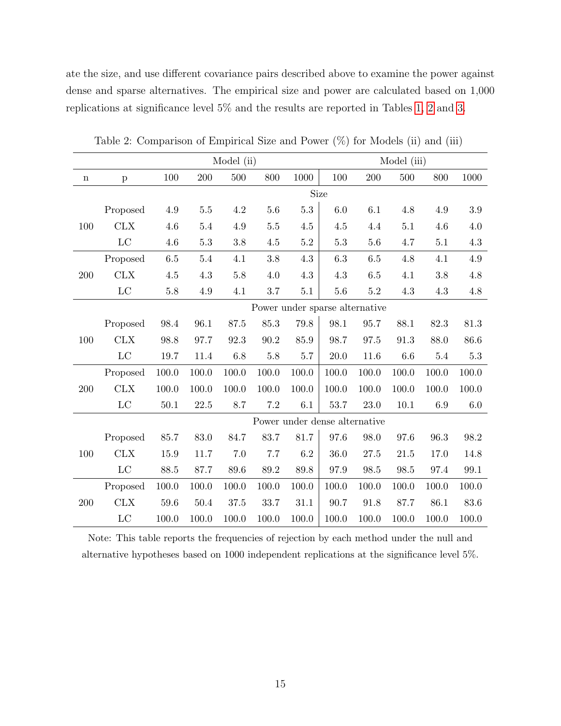ate the size, and use different covariance pairs described above to examine the power against dense and sparse alternatives. The empirical size and power are calculated based on 1,000 replications at significance level 5% and the results are reported in Tables [1,](#page-13-0) [2](#page-14-0) and [3.](#page-15-0)

<span id="page-14-0"></span>

|             | Model (ii)   |          |          |         |                                |          |                               |         | Model (iii) |         |          |
|-------------|--------------|----------|----------|---------|--------------------------------|----------|-------------------------------|---------|-------------|---------|----------|
| $\mathbf n$ | $\, {\bf p}$ | 100      | 200      | 500     | 800                            | 1000     | 100                           | 200     | 500         | 800     | 1000     |
|             |              | Size     |          |         |                                |          |                               |         |             |         |          |
|             | Proposed     | 4.9      | 5.5      | 4.2     | 5.6                            | 5.3      | 6.0                           | 6.1     | 4.8         | 4.9     | 3.9      |
| 100         | <b>CLX</b>   | 4.6      | 5.4      | 4.9     | $5.5\,$                        | 4.5      | 4.5                           | 4.4     | 5.1         | 4.6     | $4.0\,$  |
|             | LC           | 4.6      | $5.3\,$  | 3.8     | 4.5                            | 5.2      | $5.3\,$                       | 5.6     | 4.7         | 5.1     | 4.3      |
|             | Proposed     | 6.5      | 5.4      | 4.1     | 3.8                            | 4.3      | 6.3                           | $6.5\,$ | 4.8         | 4.1     | $4.9\,$  |
| 200         | <b>CLX</b>   | 4.5      | 4.3      | 5.8     | 4.0                            | 4.3      | 4.3                           | 6.5     | 4.1         | 3.8     | 4.8      |
|             | LC           | $5.8\,$  | 4.9      | 4.1     | 3.7                            | 5.1      | 5.6                           | 5.2     | 4.3         | 4.3     | 4.8      |
|             |              |          |          |         | Power under sparse alternative |          |                               |         |             |         |          |
|             | Proposed     | 98.4     | 96.1     | 87.5    | 85.3                           | 79.8     | 98.1                          | 95.7    | 88.1        | 82.3    | 81.3     |
| 100         | <b>CLX</b>   | 98.8     | 97.7     | 92.3    | 90.2                           | 85.9     | 98.7                          | 97.5    | 91.3        | 88.0    | 86.6     |
|             | $_{\rm LC}$  | $19.7\,$ | 11.4     | $6.8\,$ | $5.8\,$                        | $5.7\,$  | 20.0                          | 11.6    | 6.6         | $5.4\,$ | $5.3\,$  |
|             | Proposed     | 100.0    | 100.0    | 100.0   | 100.0                          | 100.0    | 100.0                         | 100.0   | 100.0       | 100.0   | 100.0    |
| 200         | CLX          | 100.0    | 100.0    | 100.0   | 100.0                          | 100.0    | 100.0                         | 100.0   | 100.0       | 100.0   | 100.0    |
|             | LC           | 50.1     | 22.5     | 8.7     | $7.2\,$                        | 6.1      | 53.7                          | 23.0    | 10.1        | 6.9     | 6.0      |
|             |              |          |          |         |                                |          | Power under dense alternative |         |             |         |          |
|             | Proposed     | 85.7     | 83.0     | 84.7    | 83.7                           | 81.7     | 97.6                          | 98.0    | 97.6        | 96.3    | 98.2     |
| 100         | <b>CLX</b>   | 15.9     | 11.7     | 7.0     | 7.7                            | 6.2      | 36.0                          | 27.5    | 21.5        | 17.0    | 14.8     |
|             | LC           | 88.5     | 87.7     | 89.6    | 89.2                           | 89.8     | 97.9                          | 98.5    | 98.5        | 97.4    | $99.1\,$ |
|             | Proposed     | 100.0    | 100.0    | 100.0   | 100.0                          | 100.0    | 100.0                         | 100.0   | 100.0       | 100.0   | 100.0    |
| 200         | <b>CLX</b>   | 59.6     | $50.4\,$ | 37.5    | 33.7                           | $31.1\,$ | 90.7                          | 91.8    | 87.7        | 86.1    | 83.6     |
|             | LC           | 100.0    | 100.0    | 100.0   | 100.0                          | 100.0    | 100.0                         | 100.0   | 100.0       | 100.0   | 100.0    |

Table 2: Comparison of Empirical Size and Power  $(\%)$  for Models (ii) and (iii)

Note: This table reports the frequencies of rejection by each method under the null and alternative hypotheses based on 1000 independent replications at the significance level 5%.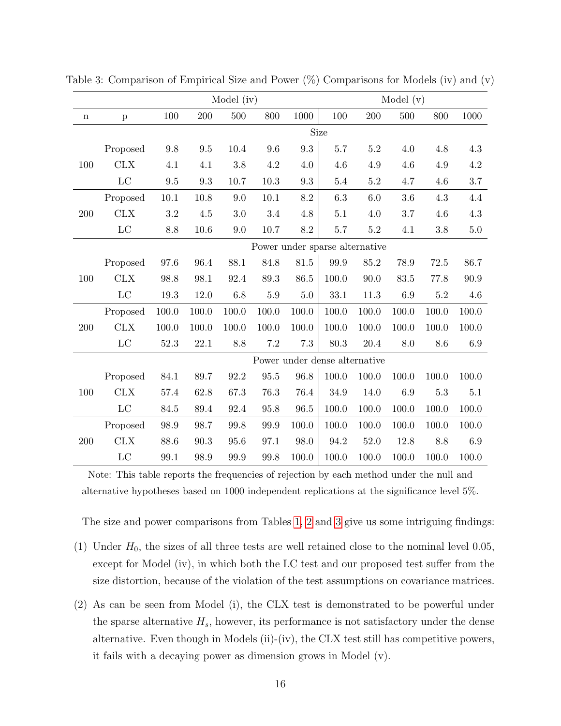|             | Model (iv)   |       |          |          |                                |          |                               |         | Model $(v)$ |          |       |
|-------------|--------------|-------|----------|----------|--------------------------------|----------|-------------------------------|---------|-------------|----------|-------|
| $\mathbf n$ | $\, {\bf p}$ | 100   | 200      | 500      | 800                            | 1000     | 100                           | 200     | 500         | 800      | 1000  |
|             |              |       |          |          |                                |          | Size                          |         |             |          |       |
|             | Proposed     | 9.8   | 9.5      | 10.4     | 9.6                            | 9.3      | 5.7                           | $5.2\,$ | 4.0         | 4.8      | 4.3   |
| 100         | <b>CLX</b>   | 4.1   | 4.1      | 3.8      | 4.2                            | 4.0      | 4.6                           | 4.9     | 4.6         | 4.9      | 4.2   |
|             | $_{\rm LC}$  | 9.5   | 9.3      | 10.7     | 10.3                           | 9.3      | 5.4                           | $5.2\,$ | 4.7         | 4.6      | 3.7   |
|             | Proposed     | 10.1  | 10.8     | 9.0      | 10.1                           | 8.2      | 6.3                           | 6.0     | 3.6         | 4.3      | 4.4   |
| 200         | <b>CLX</b>   | 3.2   | 4.5      | 3.0      | 3.4                            | 4.8      | 5.1                           | 4.0     | 3.7         | 4.6      | 4.3   |
|             | $_{\rm LC}$  | 8.8   | $10.6\,$ | 9.0      | 10.7                           | $8.2\,$  | 5.7                           | $5.2\,$ | 4.1         | 3.8      | 5.0   |
|             |              |       |          |          | Power under sparse alternative |          |                               |         |             |          |       |
|             | Proposed     | 97.6  | 96.4     | 88.1     | 84.8                           | $81.5\,$ | 99.9                          | 85.2    | 78.9        | $72.5\,$ | 86.7  |
| 100         | CLX          | 98.8  | 98.1     | 92.4     | 89.3                           | 86.5     | 100.0                         | 90.0    | 83.5        | 77.8     | 90.9  |
|             | $_{\rm LC}$  | 19.3  | 12.0     | $6.8\,$  | $5.9\,$                        | $5.0\,$  | 33.1                          | 11.3    | 6.9         | $5.2\,$  | 4.6   |
|             | Proposed     | 100.0 | 100.0    | 100.0    | 100.0                          | 100.0    | 100.0                         | 100.0   | 100.0       | 100.0    | 100.0 |
| 200         | <b>CLX</b>   | 100.0 | 100.0    | 100.0    | 100.0                          | 100.0    | 100.0                         | 100.0   | 100.0       | 100.0    | 100.0 |
|             | $_{\rm LC}$  | 52.3  | 22.1     | 8.8      | $7.2\,$                        | 7.3      | 80.3                          | 20.4    | 8.0         | 8.6      | 6.9   |
|             |              |       |          |          |                                |          | Power under dense alternative |         |             |          |       |
|             | Proposed     | 84.1  | $89.7\,$ | $92.2\,$ | 95.5                           | 96.8     | 100.0                         | 100.0   | 100.0       | 100.0    | 100.0 |
| 100         | <b>CLX</b>   | 57.4  | 62.8     | 67.3     | 76.3                           | 76.4     | 34.9                          | 14.0    | 6.9         | 5.3      | 5.1   |
|             | LC           | 84.5  | 89.4     | 92.4     | 95.8                           | $96.5\,$ | 100.0                         | 100.0   | 100.0       | 100.0    | 100.0 |
|             | Proposed     | 98.9  | 98.7     | 99.8     | 99.9                           | 100.0    | 100.0                         | 100.0   | 100.0       | 100.0    | 100.0 |
| 200         | <b>CLX</b>   | 88.6  | 90.3     | 95.6     | 97.1                           | 98.0     | 94.2                          | 52.0    | 12.8        | 8.8      | 6.9   |
|             | LC           | 99.1  | 98.9     | 99.9     | 99.8                           | 100.0    | 100.0                         | 100.0   | 100.0       | 100.0    | 100.0 |

<span id="page-15-0"></span>Table 3: Comparison of Empirical Size and Power (%) Comparisons for Models (iv) and (v)

Note: This table reports the frequencies of rejection by each method under the null and alternative hypotheses based on 1000 independent replications at the significance level 5%.

The size and power comparisons from Tables [1,](#page-13-0) [2](#page-14-0) and [3](#page-15-0) give us some intriguing findings:

- (1) Under  $H_0$ , the sizes of all three tests are well retained close to the nominal level 0.05, except for Model (iv), in which both the LC test and our proposed test suffer from the size distortion, because of the violation of the test assumptions on covariance matrices.
- (2) As can be seen from Model (i), the CLX test is demonstrated to be powerful under the sparse alternative  $H_s$ , however, its performance is not satisfactory under the dense alternative. Even though in Models (ii)-(iv), the CLX test still has competitive powers, it fails with a decaying power as dimension grows in Model (v).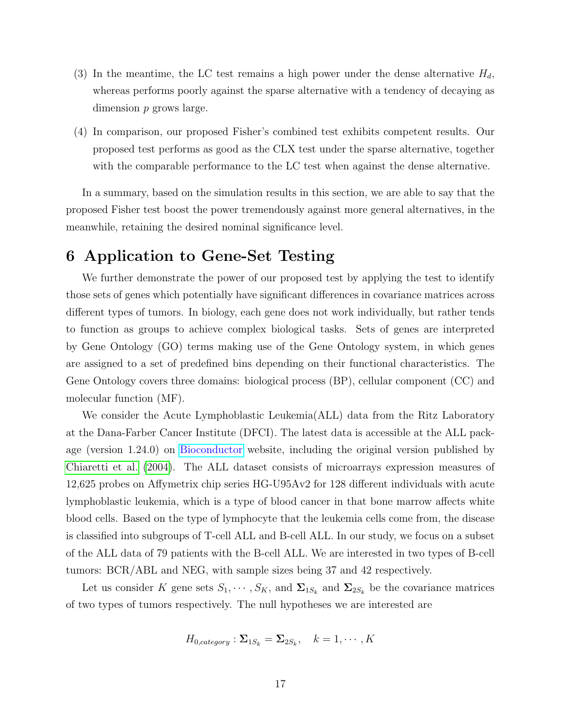- (3) In the meantime, the LC test remains a high power under the dense alternative  $H_d$ , whereas performs poorly against the sparse alternative with a tendency of decaying as dimension p grows large.
- (4) In comparison, our proposed Fisher's combined test exhibits competent results. Our proposed test performs as good as the CLX test under the sparse alternative, together with the comparable performance to the LC test when against the dense alternative.

In a summary, based on the simulation results in this section, we are able to say that the proposed Fisher test boost the power tremendously against more general alternatives, in the meanwhile, retaining the desired nominal significance level.

# 6 Application to Gene-Set Testing

We further demonstrate the power of our proposed test by applying the test to identify those sets of genes which potentially have significant differences in covariance matrices across different types of tumors. In biology, each gene does not work individually, but rather tends to function as groups to achieve complex biological tasks. Sets of genes are interpreted by Gene Ontology (GO) terms making use of the Gene Ontology system, in which genes are assigned to a set of predefined bins depending on their functional characteristics. The Gene Ontology covers three domains: biological process (BP), cellular component (CC) and molecular function (MF).

We consider the Acute Lymphoblastic Leukemia(ALL) data from the Ritz Laboratory at the Dana-Farber Cancer Institute (DFCI). The latest data is accessible at the ALL package (version 1.24.0) on [Bioconductor](https://www.bioconductor.org/) website, including the original version published by [Chiaretti et al.](#page-20-6) [\(2004\)](#page-20-6). The ALL dataset consists of microarrays expression measures of 12,625 probes on Affymetrix chip series HG-U95Av2 for 128 different individuals with acute lymphoblastic leukemia, which is a type of blood cancer in that bone marrow affects white blood cells. Based on the type of lymphocyte that the leukemia cells come from, the disease is classified into subgroups of T-cell ALL and B-cell ALL. In our study, we focus on a subset of the ALL data of 79 patients with the B-cell ALL. We are interested in two types of B-cell tumors: BCR/ABL and NEG, with sample sizes being 37 and 42 respectively.

Let us consider K gene sets  $S_1, \dots, S_K$ , and  $\Sigma_{1S_k}$  and  $\Sigma_{2S_k}$  be the covariance matrices of two types of tumors respectively. The null hypotheses we are interested are

$$
H_{0, category}: \Sigma_{1S_k} = \Sigma_{2S_k}, \quad k = 1, \cdots, K
$$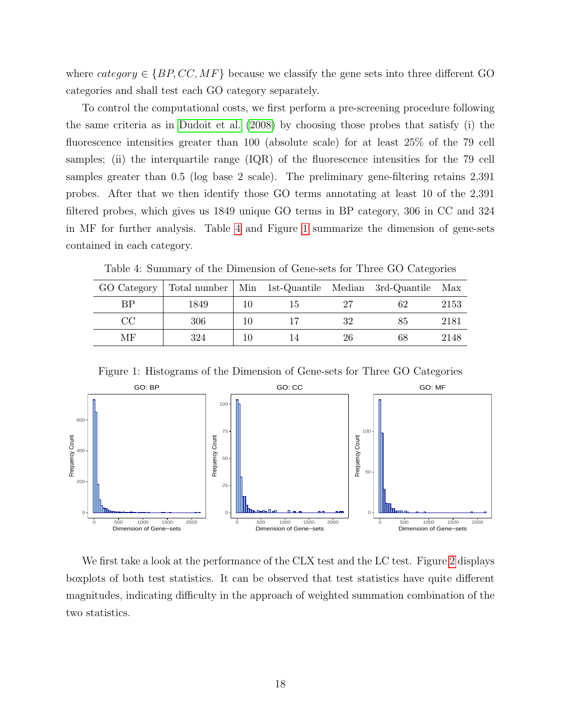where category  $\in \{BP, CC, MF\}$  because we classify the gene sets into three different GO categories and shall test each GO category separately.

To control the computational costs, we first perform a pre-screening procedure following the same criteria as in [Dudoit et al.](#page-20-4) [\(2008\)](#page-20-4) by choosing those probes that satisfy (i) the fluorescence intensities greater than 100 (absolute scale) for at least 25% of the 79 cell samples; (ii) the interquartile range  $(IQR)$  of the fluorescence intensities for the 79 cell samples greater than 0.5 (log base 2 scale). The preliminary gene-filtering retains 2,391 probes. After that we then identify those GO terms annotating at least 10 of the 2,391 filtered probes, which gives us 1849 unique GO terms in BP category, 306 in CC and 324 in MF for further analysis. Table [4](#page-17-0) and Figure [1](#page-17-1) summarize the dimension of gene-sets contained in each category.

Table 4: Summary of the Dimension of Gene-sets for Three GO Categories

<span id="page-17-0"></span>

| GO Category | Total number   Min 1st-Quantile Median 3rd-Quantile Max |    |    |    |      |
|-------------|---------------------------------------------------------|----|----|----|------|
| BP          | 1849                                                    | 10 |    | 62 | 2153 |
| $\rm CC$    | 306                                                     | 10 | 32 | 85 | 2181 |
| МF          | 324                                                     |    | 26 | 68 | 2148 |

<span id="page-17-1"></span>

Figure 1: Histograms of the Dimension of Gene-sets for Three GO Categories

We first take a look at the performance of the CLX test and the LC test. Figure [2](#page-18-0) displays boxplots of both test statistics. It can be observed that test statistics have quite different magnitudes, indicating difficulty in the approach of weighted summation combination of the two statistics.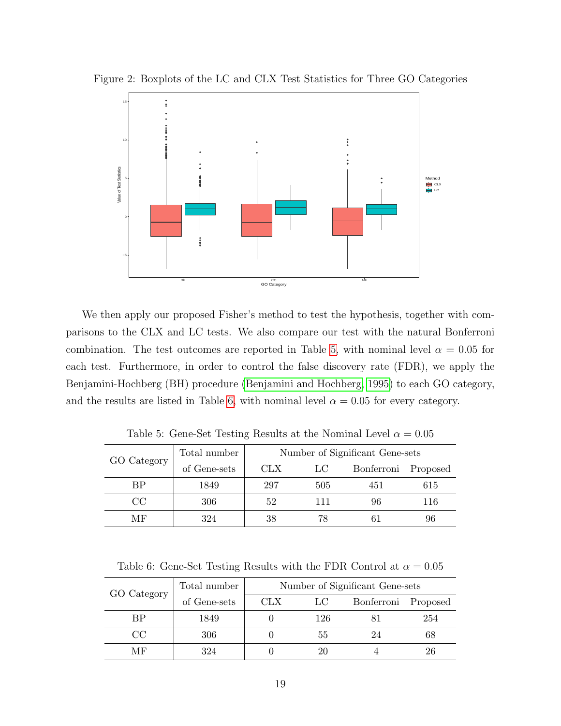

<span id="page-18-0"></span>Figure 2: Boxplots of the LC and CLX Test Statistics for Three GO Categories

We then apply our proposed Fisher's method to test the hypothesis, together with comparisons to the CLX and LC tests. We also compare our test with the natural Bonferroni combination. The test outcomes are reported in Table [5,](#page-18-1) with nominal level  $\alpha = 0.05$  for each test. Furthermore, in order to control the false discovery rate (FDR), we apply the Benjamini-Hochberg (BH) procedure [\(Benjamini and Hochberg, 1995\)](#page-20-7) to each GO category, and the results are listed in Table [6,](#page-18-2) with nominal level  $\alpha = 0.05$  for every category.

<span id="page-18-1"></span>

| GO Category | Total number | Number of Significant Gene-sets |     |                     |     |  |  |  |  |
|-------------|--------------|---------------------------------|-----|---------------------|-----|--|--|--|--|
|             | of Gene-sets | <b>CLX</b>                      | LC. | Bonferroni Proposed |     |  |  |  |  |
| ВP          | 1849         | 297                             | 505 | 451                 | 615 |  |  |  |  |
| CC          | 306          | 52                              | 111 | 96                  | 116 |  |  |  |  |
| MF          | 324          | 38                              | 78  |                     | 96  |  |  |  |  |

Table 5: Gene-Set Testing Results at the Nominal Level  $\alpha = 0.05$ 

Table 6: Gene-Set Testing Results with the FDR Control at  $\alpha = 0.05$ 

<span id="page-18-2"></span>

| GO Category | Total number | Number of Significant Gene-sets |     |                     |     |  |  |  |  |
|-------------|--------------|---------------------------------|-----|---------------------|-----|--|--|--|--|
|             | of Gene-sets | <b>CLX</b>                      | LC- | Bonferroni Proposed |     |  |  |  |  |
| ВP          | 1849         |                                 | 126 |                     | 254 |  |  |  |  |
| CC          | 306          |                                 | 55  | 24                  | DО  |  |  |  |  |
| MF          | 324          |                                 |     |                     | 26  |  |  |  |  |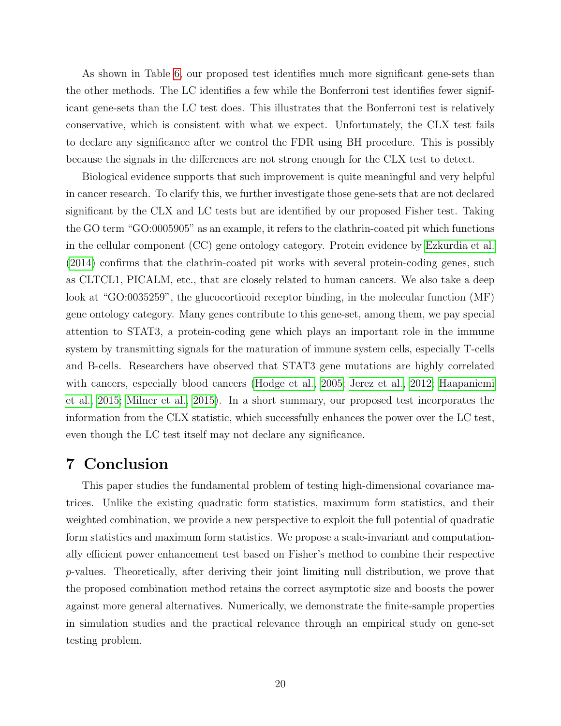As shown in Table [6,](#page-18-2) our proposed test identifies much more significant gene-sets than the other methods. The LC identifies a few while the Bonferroni test identifies fewer significant gene-sets than the LC test does. This illustrates that the Bonferroni test is relatively conservative, which is consistent with what we expect. Unfortunately, the CLX test fails to declare any significance after we control the FDR using BH procedure. This is possibly because the signals in the differences are not strong enough for the CLX test to detect.

Biological evidence supports that such improvement is quite meaningful and very helpful in cancer research. To clarify this, we further investigate those gene-sets that are not declared significant by the CLX and LC tests but are identified by our proposed Fisher test. Taking the GO term "GO:0005905" as an example, it refers to the clathrin-coated pit which functions in the cellular component (CC) gene ontology category. Protein evidence by [Ezkurdia et al.](#page-21-7) [\(2014\)](#page-21-7) confirms that the clathrin-coated pit works with several protein-coding genes, such as CLTCL1, PICALM, etc., that are closely related to human cancers. We also take a deep look at "GO:0035259", the glucocorticoid receptor binding, in the molecular function (MF) gene ontology category. Many genes contribute to this gene-set, among them, we pay special attention to STAT3, a protein-coding gene which plays an important role in the immune system by transmitting signals for the maturation of immune system cells, especially T-cells and B-cells. Researchers have observed that STAT3 gene mutations are highly correlated with cancers, especially blood cancers [\(Hodge et al., 2005;](#page-21-8) [Jerez et al., 2012;](#page-21-9) [Haapaniemi](#page-21-10) [et al., 2015;](#page-21-10) [Milner et al., 2015\)](#page-22-9). In a short summary, our proposed test incorporates the information from the CLX statistic, which successfully enhances the power over the LC test, even though the LC test itself may not declare any significance.

### 7 Conclusion

This paper studies the fundamental problem of testing high-dimensional covariance matrices. Unlike the existing quadratic form statistics, maximum form statistics, and their weighted combination, we provide a new perspective to exploit the full potential of quadratic form statistics and maximum form statistics. We propose a scale-invariant and computationally efficient power enhancement test based on Fisher's method to combine their respective p-values. Theoretically, after deriving their joint limiting null distribution, we prove that the proposed combination method retains the correct asymptotic size and boosts the power against more general alternatives. Numerically, we demonstrate the finite-sample properties in simulation studies and the practical relevance through an empirical study on gene-set testing problem.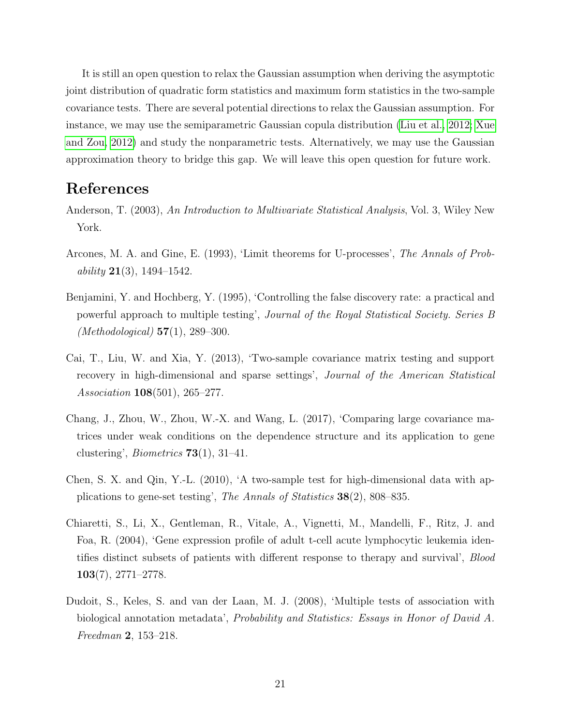It is still an open question to relax the Gaussian assumption when deriving the asymptotic joint distribution of quadratic form statistics and maximum form statistics in the two-sample covariance tests. There are several potential directions to relax the Gaussian assumption. For instance, we may use the semiparametric Gaussian copula distribution [\(Liu et al., 2012;](#page-22-10) [Xue](#page-23-5) [and Zou, 2012\)](#page-23-5) and study the nonparametric tests. Alternatively, we may use the Gaussian approximation theory to bridge this gap. We will leave this open question for future work.

# References

- <span id="page-20-0"></span>Anderson, T. (2003), An Introduction to Multivariate Statistical Analysis, Vol. 3, Wiley New York.
- <span id="page-20-5"></span>Arcones, M. A. and Gine, E. (1993), 'Limit theorems for U-processes', The Annals of Probability  $21(3)$ , 1494–1542.
- <span id="page-20-7"></span>Benjamini, Y. and Hochberg, Y. (1995), 'Controlling the false discovery rate: a practical and powerful approach to multiple testing', Journal of the Royal Statistical Society. Series B (*Methodological*) **57**(1), 289–300.
- <span id="page-20-3"></span>Cai, T., Liu, W. and Xia, Y. (2013), 'Two-sample covariance matrix testing and support recovery in high-dimensional and sparse settings', Journal of the American Statistical Association 108(501), 265–277.
- <span id="page-20-2"></span>Chang, J., Zhou, W., Zhou, W.-X. and Wang, L. (2017), 'Comparing large covariance matrices under weak conditions on the dependence structure and its application to gene clustering', *Biometrics*  $73(1)$ , 31–41.
- <span id="page-20-1"></span>Chen, S. X. and Qin, Y.-L. (2010), 'A two-sample test for high-dimensional data with applications to gene-set testing', The Annals of Statistics 38(2), 808–835.
- <span id="page-20-6"></span>Chiaretti, S., Li, X., Gentleman, R., Vitale, A., Vignetti, M., Mandelli, F., Ritz, J. and Foa, R. (2004), 'Gene expression profile of adult t-cell acute lymphocytic leukemia identifies distinct subsets of patients with different response to therapy and survival', Blood 103(7), 2771–2778.
- <span id="page-20-4"></span>Dudoit, S., Keles, S. and van der Laan, M. J. (2008), 'Multiple tests of association with biological annotation metadata', Probability and Statistics: Essays in Honor of David A. Freedman 2, 153–218.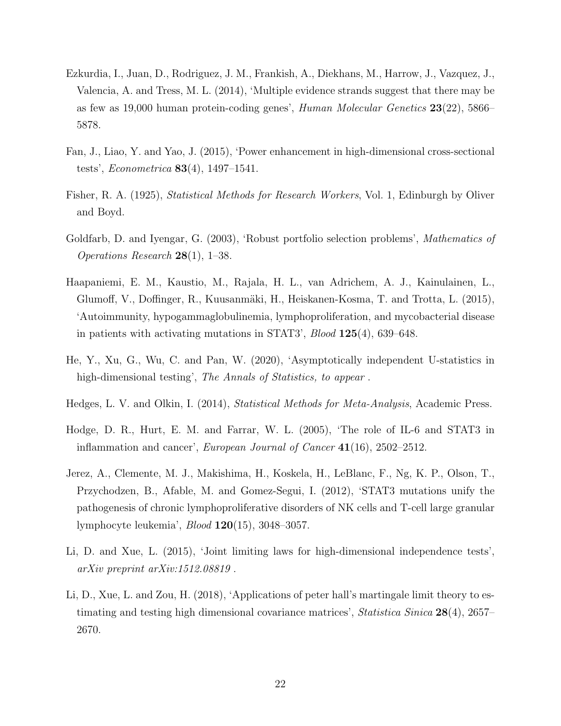- <span id="page-21-7"></span>Ezkurdia, I., Juan, D., Rodriguez, J. M., Frankish, A., Diekhans, M., Harrow, J., Vazquez, J., Valencia, A. and Tress, M. L. (2014), 'Multiple evidence strands suggest that there may be as few as 19,000 human protein-coding genes', Human Molecular Genetics 23(22), 5866– 5878.
- <span id="page-21-4"></span>Fan, J., Liao, Y. and Yao, J. (2015), 'Power enhancement in high-dimensional cross-sectional tests', Econometrica 83(4), 1497–1541.
- <span id="page-21-5"></span>Fisher, R. A. (1925), Statistical Methods for Research Workers, Vol. 1, Edinburgh by Oliver and Boyd.
- <span id="page-21-0"></span>Goldfarb, D. and Iyengar, G. (2003), 'Robust portfolio selection problems', Mathematics of Operations Research 28(1), 1–38.
- <span id="page-21-10"></span>Haapaniemi, E. M., Kaustio, M., Rajala, H. L., van Adrichem, A. J., Kainulainen, L., Glumoff, V., Doffinger, R., Kuusanmäki, H., Heiskanen-Kosma, T. and Trotta, L. (2015), 'Autoimmunity, hypogammaglobulinemia, lymphoproliferation, and mycobacterial disease in patients with activating mutations in STAT3', Blood 125(4), 639–648.
- <span id="page-21-1"></span>He, Y., Xu, G., Wu, C. and Pan, W. (2020), 'Asymptotically independent U-statistics in high-dimensional testing', The Annals of Statistics, to appear.
- <span id="page-21-6"></span>Hedges, L. V. and Olkin, I. (2014), Statistical Methods for Meta-Analysis, Academic Press.
- <span id="page-21-8"></span>Hodge, D. R., Hurt, E. M. and Farrar, W. L. (2005), 'The role of IL-6 and STAT3 in inflammation and cancer', European Journal of Cancer  $41(16)$ , 2502–2512.
- <span id="page-21-9"></span>Jerez, A., Clemente, M. J., Makishima, H., Koskela, H., LeBlanc, F., Ng, K. P., Olson, T., Przychodzen, B., Afable, M. and Gomez-Segui, I. (2012), 'STAT3 mutations unify the pathogenesis of chronic lymphoproliferative disorders of NK cells and T-cell large granular lymphocyte leukemia', Blood 120(15), 3048–3057.
- <span id="page-21-2"></span>Li, D. and Xue, L. (2015), 'Joint limiting laws for high-dimensional independence tests', arXiv preprint arXiv:1512.08819 .
- <span id="page-21-3"></span>Li, D., Xue, L. and Zou, H. (2018), 'Applications of peter hall's martingale limit theory to estimating and testing high dimensional covariance matrices', *Statistica Sinica*  $28(4)$ , 2657– 2670.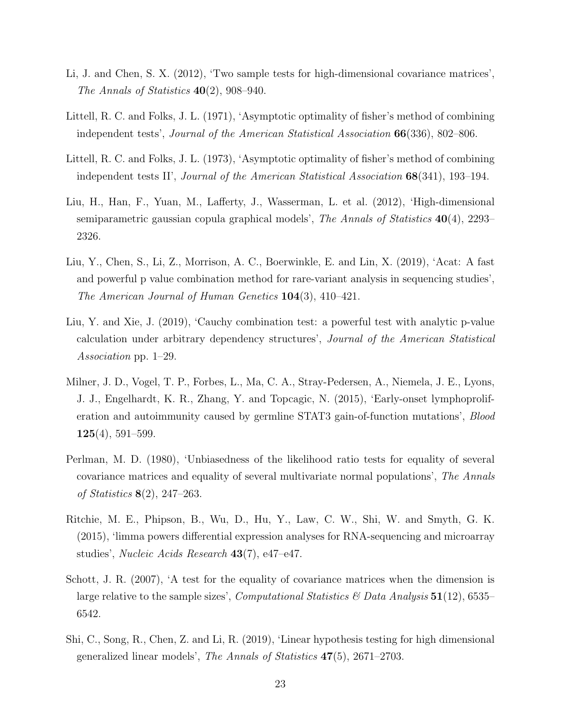- <span id="page-22-2"></span>Li, J. and Chen, S. X. (2012), 'Two sample tests for high-dimensional covariance matrices', The Annals of Statistics  $40(2)$ , 908-940.
- <span id="page-22-7"></span>Littell, R. C. and Folks, J. L. (1971), 'Asymptotic optimality of fisher's method of combining independent tests', Journal of the American Statistical Association 66(336), 802–806.
- <span id="page-22-8"></span>Littell, R. C. and Folks, J. L. (1973), 'Asymptotic optimality of fisher's method of combining independent tests II', Journal of the American Statistical Association 68(341), 193–194.
- <span id="page-22-10"></span>Liu, H., Han, F., Yuan, M., Lafferty, J., Wasserman, L. et al. (2012), 'High-dimensional semiparametric gaussian copula graphical models', The Annals of Statistics  $40(4)$ , 2293– 2326.
- <span id="page-22-3"></span>Liu, Y., Chen, S., Li, Z., Morrison, A. C., Boerwinkle, E. and Lin, X. (2019), 'Acat: A fast and powerful p value combination method for rare-variant analysis in sequencing studies', The American Journal of Human Genetics 104(3), 410–421.
- <span id="page-22-5"></span>Liu, Y. and Xie, J. (2019), 'Cauchy combination test: a powerful test with analytic p-value calculation under arbitrary dependency structures', Journal of the American Statistical Association pp. 1–29.
- <span id="page-22-9"></span>Milner, J. D., Vogel, T. P., Forbes, L., Ma, C. A., Stray-Pedersen, A., Niemela, J. E., Lyons, J. J., Engelhardt, K. R., Zhang, Y. and Topcagic, N. (2015), 'Early-onset lymphoproliferation and autoimmunity caused by germline STAT3 gain-of-function mutations', Blood  $125(4)$ , 591–599.
- <span id="page-22-0"></span>Perlman, M. D. (1980), 'Unbiasedness of the likelihood ratio tests for equality of several covariance matrices and equality of several multivariate normal populations', The Annals of Statistics 8(2), 247–263.
- <span id="page-22-4"></span>Ritchie, M. E., Phipson, B., Wu, D., Hu, Y., Law, C. W., Shi, W. and Smyth, G. K. (2015), 'limma powers differential expression analyses for RNA-sequencing and microarray studies', Nucleic Acids Research 43(7), e47–e47.
- <span id="page-22-1"></span>Schott, J. R. (2007), 'A test for the equality of covariance matrices when the dimension is large relative to the sample sizes', *Computational Statistics* & Data Analysis  $51(12)$ , 6535– 6542.
- <span id="page-22-6"></span>Shi, C., Song, R., Chen, Z. and Li, R. (2019), 'Linear hypothesis testing for high dimensional generalized linear models', The Annals of Statistics 47(5), 2671–2703.